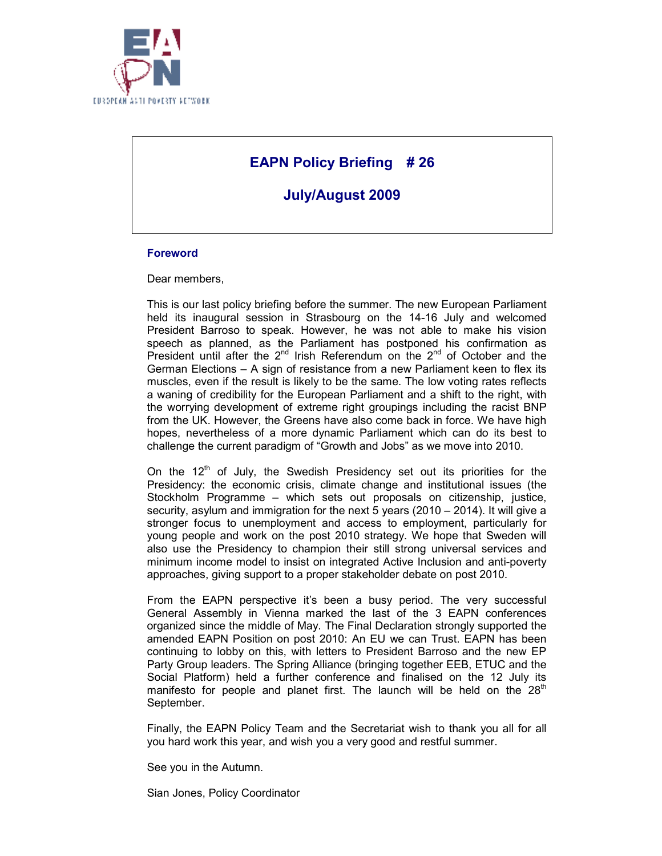

# **EAPN Policy Briefing # 26**

**July/August 2009** 

### **Foreword**

Dear members,

This is our last policy briefing before the summer. The new European Parliament held its inaugural session in Strasbourg on the 14-16 July and welcomed President Barroso to speak. However, he was not able to make his vision speech as planned, as the Parliament has postponed his confirmation as President until after the  $2^{nd}$  Irish Referendum on the  $2^{nd}$  of October and the German Elections – A sign of resistance from a new Parliament keen to flex its muscles, even if the result is likely to be the same. The low voting rates reflects a waning of credibility for the European Parliament and a shift to the right, with the worrying development of extreme right groupings including the racist BNP from the UK. However, the Greens have also come back in force. We have high hopes, nevertheless of a more dynamic Parliament which can do its best to challenge the current paradigm of "Growth and Jobs" as we move into 2010.

On the  $12<sup>th</sup>$  of July, the Swedish Presidency set out its priorities for the Presidency: the economic crisis, climate change and institutional issues (the Stockholm Programme – which sets out proposals on citizenship, justice, security, asylum and immigration for the next 5 years (2010 – 2014). It will give a stronger focus to unemployment and access to employment, particularly for young people and work on the post 2010 strategy. We hope that Sweden will also use the Presidency to champion their still strong universal services and minimum income model to insist on integrated Active Inclusion and anti-poverty approaches, giving support to a proper stakeholder debate on post 2010.

From the EAPN perspective it's been a busy period. The very successful General Assembly in Vienna marked the last of the 3 EAPN conferences organized since the middle of May. The Final Declaration strongly supported the amended EAPN Position on post 2010: An EU we can Trust. EAPN has been continuing to lobby on this, with letters to President Barroso and the new EP Party Group leaders. The Spring Alliance (bringing together EEB, ETUC and the Social Platform) held a further conference and finalised on the 12 July its manifesto for people and planet first. The launch will be held on the  $28<sup>th</sup>$ September.

Finally, the EAPN Policy Team and the Secretariat wish to thank you all for all you hard work this year, and wish you a very good and restful summer.

See you in the Autumn.

Sian Jones, Policy Coordinator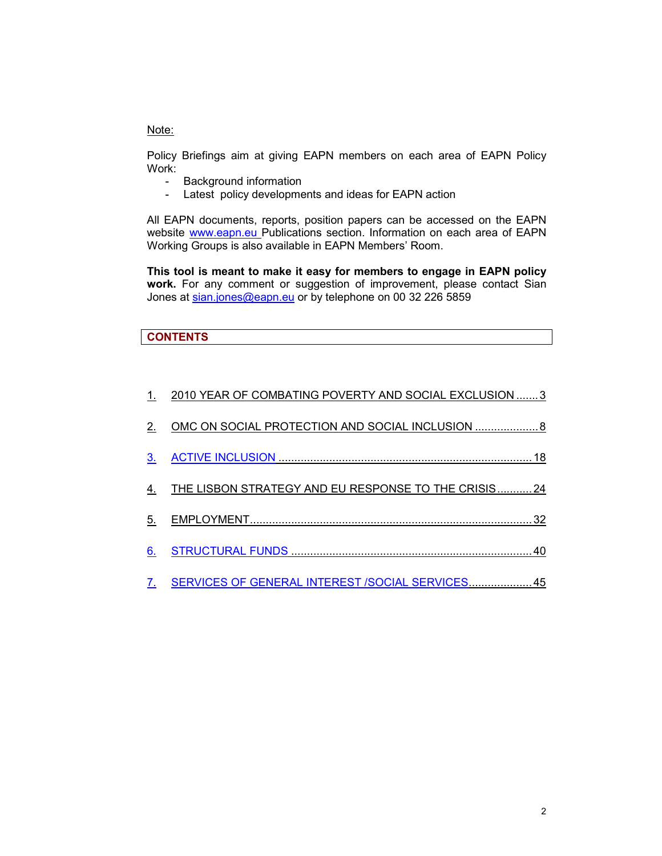### Note:

Policy Briefings aim at giving EAPN members on each area of EAPN Policy Work:

- Background information
- Latest policy developments and ideas for EAPN action

All EAPN documents, reports, position papers can be accessed on the EAPN website www.eapn.eu Publications section. Information on each area of EAPN Working Groups is also available in EAPN Members' Room.

**This tool is meant to make it easy for members to engage in EAPN policy work.** For any comment or suggestion of improvement, please contact Sian Jones at sian.jones@eapn.eu or by telephone on 00 32 226 5859

### **CONTENTS**

|    | 2010 YEAR OF COMBATING POVERTY AND SOCIAL EXCLUSION 3       |
|----|-------------------------------------------------------------|
| 2. | OMC ON SOCIAL PROTECTION AND SOCIAL INCLUSION 8             |
| 3. |                                                             |
|    | <u>THE LISBON STRATEGY AND EU RESPONSE TO THE CRISIS 24</u> |
| 5. |                                                             |
| 6. |                                                             |
| 7. | SERVICES OF GENERAL INTEREST /SOCIAL SERVICES 45            |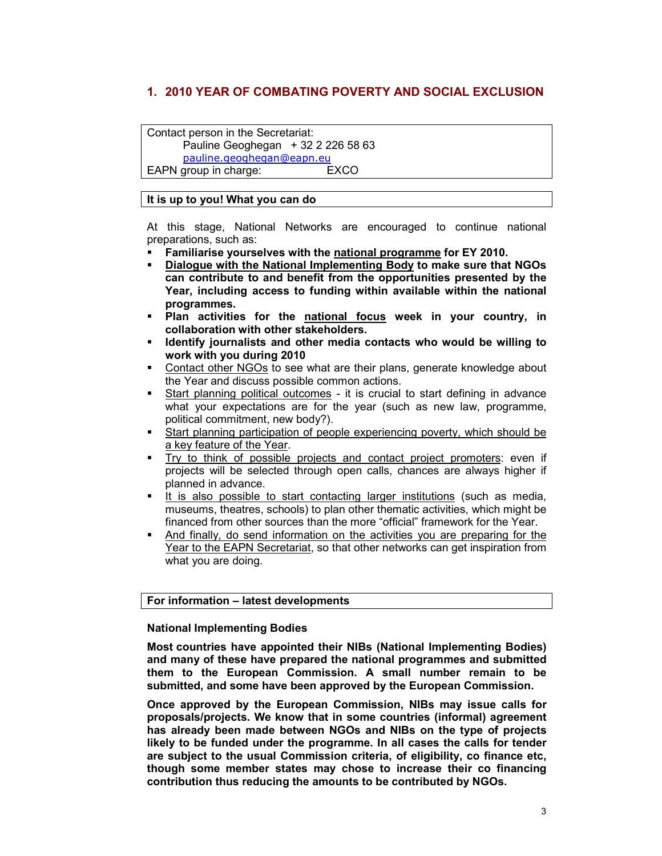## **1. 2010 YEAR OF COMBATING POVERTY AND SOCIAL EXCLUSION**

Contact person in the Secretariat:

Pauline Geoghegan  $+3222265863$ pauline.geoghegan@eapn.eu EAPN group in charge: EXCO

**It is up to you! What you can do** 

At this stage, National Networks are encouraged to continue national preparations, such as:

- **Familiarise yourselves with the national programme for EY 2010.**
- **Dialogue with the National Implementing Body to make sure that NGOs can contribute to and benefit from the opportunities presented by the Year, including access to funding within available within the national programmes.**
- **Plan activities for the national focus week in your country, in collaboration with other stakeholders.**
- **Identify journalists and other media contacts who would be willing to work with you during 2010**
- Contact other NGOs to see what are their plans, generate knowledge about the Year and discuss possible common actions.
- Start planning political outcomes it is crucial to start defining in advance what your expectations are for the year (such as new law, programme, political commitment, new body?).
- Start planning participation of people experiencing poverty, which should be a key feature of the Year.
- Try to think of possible projects and contact project promoters: even if projects will be selected through open calls, chances are always higher if planned in advance.
- It is also possible to start contacting larger institutions (such as media, museums, theatres, schools) to plan other thematic activities, which might be financed from other sources than the more "official" framework for the Year.
- And finally, do send information on the activities you are preparing for the Year to the EAPN Secretariat, so that other networks can get inspiration from what you are doing.

### **For information – latest developments**

#### **National Implementing Bodies**

**Most countries have appointed their NIBs (National Implementing Bodies) and many of these have prepared the national programmes and submitted them to the European Commission. A small number remain to be submitted, and some have been approved by the European Commission.**

**Once approved by the European Commission, NIBs may issue calls for proposals/projects. We know that in some countries (informal) agreement has already been made between NGOs and NIBs on the type of projects likely to be funded under the programme. In all cases the calls for tender are subject to the usual Commission criteria, of eligibility, co finance etc, though some member states may chose to increase their co financing contribution thus reducing the amounts to be contributed by NGOs.**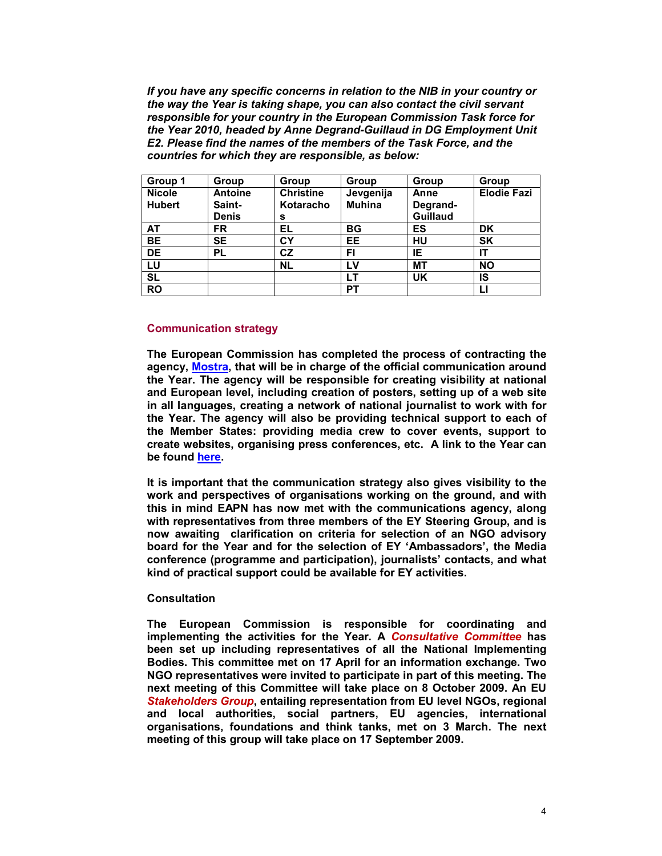*If you have any specific concerns in relation to the NIB in your country or the way the Year is taking shape, you can also contact the civil servant responsible for your country in the European Commission Task force for the Year 2010, headed by Anne Degrand-Guillaud in DG Employment Unit E2. Please find the names of the members of the Task Force, and the countries for which they are responsible, as below:* 

| Group 1       | Group          | Group            | Group         | Group           | Group              |
|---------------|----------------|------------------|---------------|-----------------|--------------------|
| <b>Nicole</b> | <b>Antoine</b> | <b>Christine</b> | Jevgenija     | Anne            | <b>Elodie Fazi</b> |
| <b>Hubert</b> | Saint-         | Kotaracho        | <b>Muhina</b> | Degrand-        |                    |
|               | <b>Denis</b>   | s                |               | <b>Guillaud</b> |                    |
| AT            | <b>FR</b>      | ΕL               | BG            | ES              | DK                 |
| <b>BE</b>     | <b>SE</b>      | CY               | EE            | HU              | <b>SK</b>          |
| <b>DE</b>     | <b>PL</b>      | CZ               | FI            | IE              | IT                 |
| LU            |                | <b>NL</b>        | LV            | <b>MT</b>       | <b>NO</b>          |
| <b>SL</b>     |                |                  | LT            | UK              | IS                 |
| <b>RO</b>     |                |                  | PТ            |                 | Ц                  |

#### **Communication strategy**

**The European Commission has completed the process of contracting the agency, Mostra, that will be in charge of the official communication around the Year. The agency will be responsible for creating visibility at national and European level, including creation of posters, setting up of a web site in all languages, creating a network of national journalist to work with for the Year. The agency will also be providing technical support to each of the Member States: providing media crew to cover events, support to create websites, organising press conferences, etc. A link to the Year can be found here.** 

**It is important that the communication strategy also gives visibility to the work and perspectives of organisations working on the ground, and with this in mind EAPN has now met with the communications agency, along with representatives from three members of the EY Steering Group, and is now awaiting clarification on criteria for selection of an NGO advisory board for the Year and for the selection of EY 'Ambassadors', the Media conference (programme and participation), journalists' contacts, and what kind of practical support could be available for EY activities.** 

#### **Consultation**

**The European Commission is responsible for coordinating and implementing the activities for the Year. A** *Consultative Committee* **has been set up including representatives of all the National Implementing Bodies. This committee met on 17 April for an information exchange. Two NGO representatives were invited to participate in part of this meeting. The next meeting of this Committee will take place on 8 October 2009. An EU**  *Stakeholders Group***, entailing representation from EU level NGOs, regional and local authorities, social partners, EU agencies, international organisations, foundations and think tanks, met on 3 March. The next meeting of this group will take place on 17 September 2009.**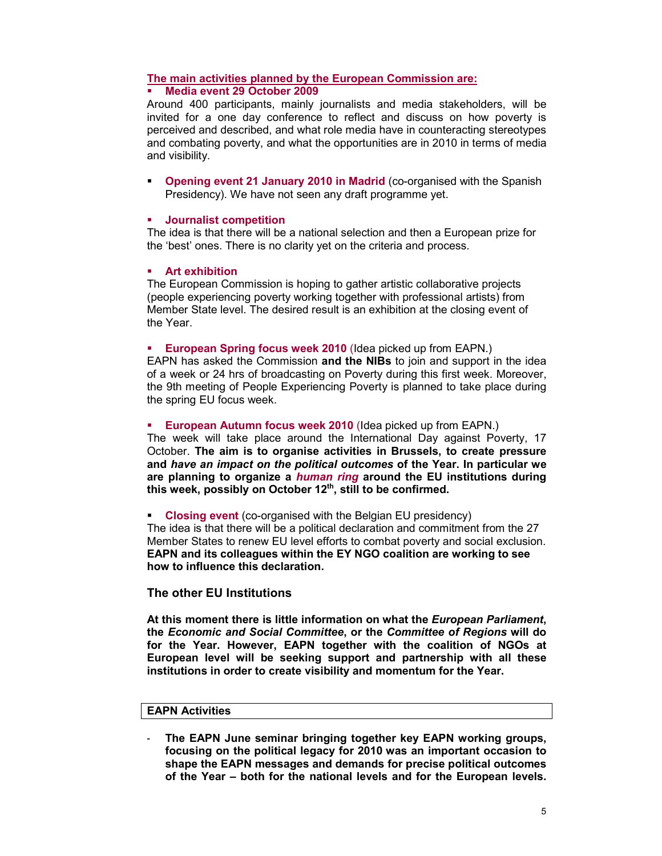#### **The main activities planned by the European Commission are: Media event 29 October 2009**

Around 400 participants, mainly journalists and media stakeholders, will be invited for a one day conference to reflect and discuss on how poverty is perceived and described, and what role media have in counteracting stereotypes and combating poverty, and what the opportunities are in 2010 in terms of media and visibility.

 **Opening event 21 January 2010 in Madrid** (co-organised with the Spanish Presidency). We have not seen any draft programme yet.

#### **Journalist competition**

The idea is that there will be a national selection and then a European prize for the 'best' ones. There is no clarity yet on the criteria and process.

#### **Art exhibition**

The European Commission is hoping to gather artistic collaborative projects (people experiencing poverty working together with professional artists) from Member State level. The desired result is an exhibition at the closing event of the Year.

#### **European Spring focus week 2010** (Idea picked up from EAPN.)

EAPN has asked the Commission **and the NIBs** to join and support in the idea of a week or 24 hrs of broadcasting on Poverty during this first week. Moreover, the 9th meeting of People Experiencing Poverty is planned to take place during the spring EU focus week.

#### **European Autumn focus week 2010** (Idea picked up from EAPN.)

The week will take place around the International Day against Poverty, 17 October. **The aim is to organise activities in Brussels, to create pressure and** *have an impact on the political outcomes* **of the Year. In particular we are planning to organize a** *human ring* **around the EU institutions during this week, possibly on October 12th, still to be confirmed.**

#### **Closing event** (co-organised with the Belgian EU presidency) The idea is that there will be a political declaration and commitment from the 27

Member States to renew EU level efforts to combat poverty and social exclusion. **EAPN and its colleagues within the EY NGO coalition are working to see how to influence this declaration.** 

#### **The other EU Institutions**

**At this moment there is little information on what the** *European Parliament***, the** *Economic and Social Committee***, or the** *Committee of Regions* **will do for the Year. However, EAPN together with the coalition of NGOs at European level will be seeking support and partnership with all these institutions in order to create visibility and momentum for the Year.** 

#### **EAPN Activities**

- **The EAPN June seminar bringing together key EAPN working groups, focusing on the political legacy for 2010 was an important occasion to shape the EAPN messages and demands for precise political outcomes of the Year – both for the national levels and for the European levels.**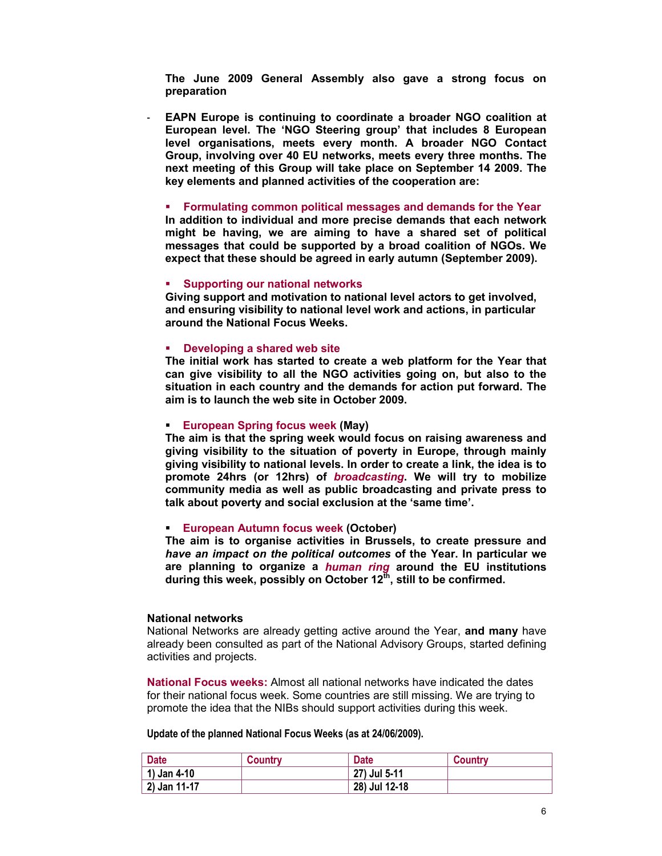**The June 2009 General Assembly also gave a strong focus on preparation**

- **EAPN Europe is continuing to coordinate a broader NGO coalition at European level. The 'NGO Steering group' that includes 8 European level organisations, meets every month. A broader NGO Contact Group, involving over 40 EU networks, meets every three months. The next meeting of this Group will take place on September 14 2009. The key elements and planned activities of the cooperation are:** 

#### **Formulating common political messages and demands for the Year**

**In addition to individual and more precise demands that each network might be having, we are aiming to have a shared set of political messages that could be supported by a broad coalition of NGOs. We expect that these should be agreed in early autumn (September 2009).** 

#### **Supporting our national networks**

**Giving support and motivation to national level actors to get involved, and ensuring visibility to national level work and actions, in particular around the National Focus Weeks.** 

#### **Developing a shared web site**

**The initial work has started to create a web platform for the Year that can give visibility to all the NGO activities going on, but also to the situation in each country and the demands for action put forward. The aim is to launch the web site in October 2009.** 

#### **European Spring focus week (May)**

**The aim is that the spring week would focus on raising awareness and giving visibility to the situation of poverty in Europe, through mainly giving visibility to national levels. In order to create a link, the idea is to promote 24hrs (or 12hrs) of** *broadcasting***. We will try to mobilize community media as well as public broadcasting and private press to talk about poverty and social exclusion at the 'same time'.** 

#### **European Autumn focus week (October)**

**The aim is to organise activities in Brussels, to create pressure and**  *have an impact on the political outcomes* **of the Year. In particular we are planning to organize a** *human ring* **around the EU institutions during this week, possibly on October 12th, still to be confirmed.** 

#### **National networks**

National Networks are already getting active around the Year, **and many** have already been consulted as part of the National Advisory Groups, started defining activities and projects.

**National Focus weeks:** Almost all national networks have indicated the dates for their national focus week. Some countries are still missing. We are trying to promote the idea that the NIBs should support activities during this week.

#### **Update of the planned National Focus Weeks (as at 24/06/2009).**

| <b>Date</b>         | Country | <b>Date</b>   | Country |
|---------------------|---------|---------------|---------|
| $\vert$ 1) Jan 4-10 |         | 27) Jul 5-11  |         |
| $2)$ Jan 11-17      |         | 28) Jul 12-18 |         |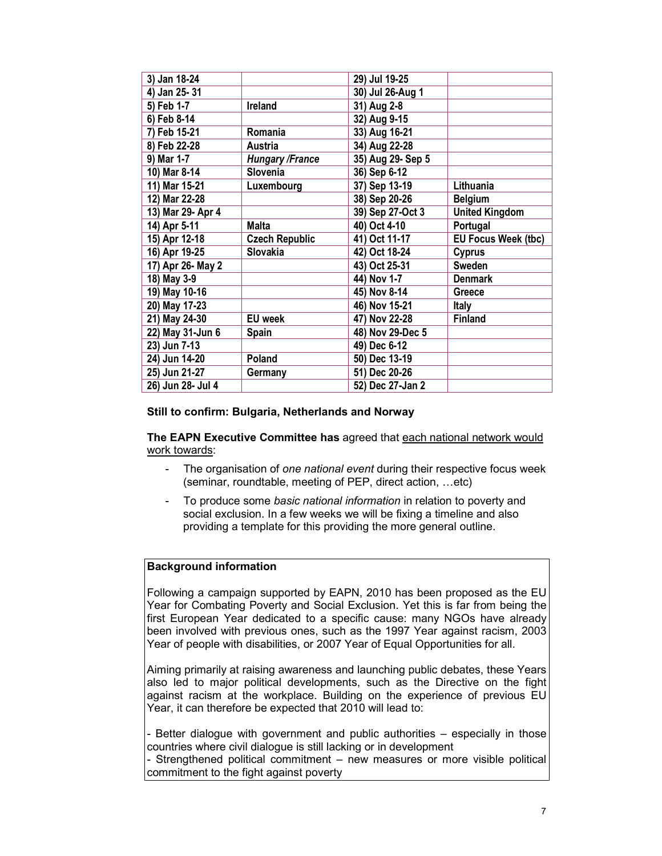| 3) Jan 18-24      |                        | 29) Jul 19-25     |                            |
|-------------------|------------------------|-------------------|----------------------------|
| 4) Jan 25-31      |                        | 30) Jul 26-Aug 1  |                            |
| 5) Feb 1-7        | Ireland                | 31) Aug 2-8       |                            |
| 6) Feb 8-14       |                        | 32) Aug 9-15      |                            |
| 7) Feb 15-21      | Romania                | 33) Aug 16-21     |                            |
| 8) Feb 22-28      | Austria                | 34) Aug 22-28     |                            |
| 9) Mar 1-7        | <b>Hungary /France</b> | 35) Aug 29- Sep 5 |                            |
| 10) Mar 8-14      | Slovenia               | 36) Sep 6-12      |                            |
| 11) Mar 15-21     | Luxembourg             | 37) Sep 13-19     | Lithuania                  |
| 12) Mar 22-28     |                        | 38) Sep 20-26     | <b>Belgium</b>             |
| 13) Mar 29- Apr 4 |                        | 39) Sep 27-Oct 3  | <b>United Kingdom</b>      |
| 14) Apr 5-11      | Malta                  | 40) Oct 4-10      | Portugal                   |
| 15) Apr 12-18     | <b>Czech Republic</b>  | 41) Oct 11-17     | <b>EU Focus Week (tbc)</b> |
| 16) Apr 19-25     | Slovakia               | 42) Oct 18-24     | <b>Cyprus</b>              |
| 17) Apr 26- May 2 |                        | 43) Oct 25-31     | Sweden                     |
| 18) May 3-9       |                        | 44) Nov 1-7       | <b>Denmark</b>             |
| 19) May 10-16     |                        | 45) Nov 8-14      | Greece                     |
| 20) May 17-23     |                        | 46) Nov 15-21     | Italy                      |
| 21) May 24-30     | <b>EU</b> week         | 47) Nov 22-28     | <b>Finland</b>             |
| 22) May 31-Jun 6  | Spain                  | 48) Nov 29-Dec 5  |                            |
| 23) Jun 7-13      |                        | 49) Dec 6-12      |                            |
| 24) Jun 14-20     | Poland                 | 50) Dec 13-19     |                            |
| 25) Jun 21-27     | Germany                | 51) Dec 20-26     |                            |
| 26) Jun 28- Jul 4 |                        | 52) Dec 27-Jan 2  |                            |

### **Still to confirm: Bulgaria, Netherlands and Norway**

**The EAPN Executive Committee has** agreed that each national network would work towards:

- The organisation of *one national event* during their respective focus week (seminar, roundtable, meeting of PEP, direct action, …etc)
- To produce some *basic national information* in relation to poverty and social exclusion. In a few weeks we will be fixing a timeline and also providing a template for this providing the more general outline.

### **Background information**

Following a campaign supported by EAPN, 2010 has been proposed as the EU Year for Combating Poverty and Social Exclusion. Yet this is far from being the first European Year dedicated to a specific cause: many NGOs have already been involved with previous ones, such as the 1997 Year against racism, 2003 Year of people with disabilities, or 2007 Year of Equal Opportunities for all.

Aiming primarily at raising awareness and launching public debates, these Years also led to major political developments, such as the Directive on the fight against racism at the workplace. Building on the experience of previous EU Year, it can therefore be expected that 2010 will lead to:

- Better dialogue with government and public authorities – especially in those countries where civil dialogue is still lacking or in development

- Strengthened political commitment – new measures or more visible political commitment to the fight against poverty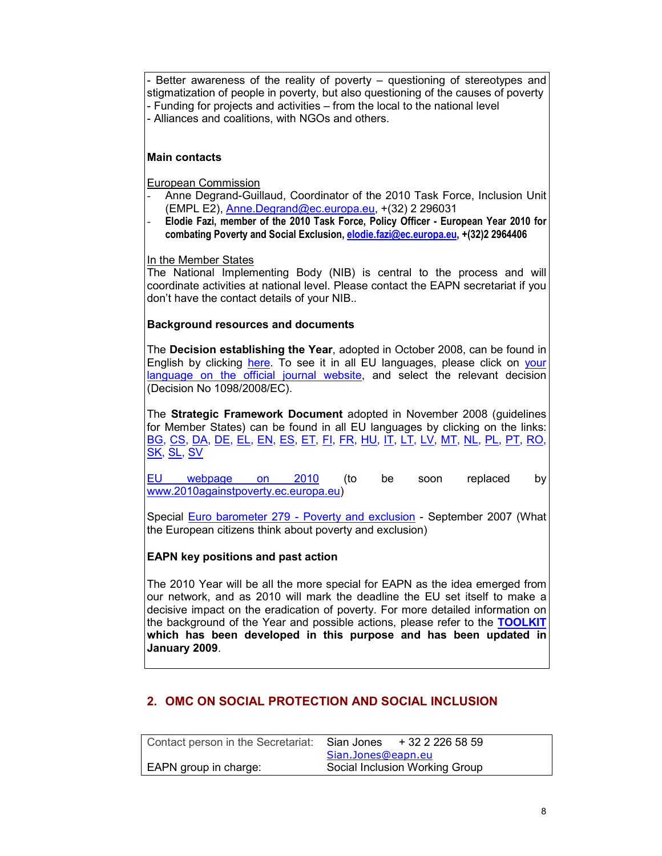Better awareness of the reality of poverty – questioning of stereotypes and stigmatization of people in poverty, but also questioning of the causes of poverty - Funding for projects and activities – from the local to the national level - Alliances and coalitions, with NGOs and others.

## **Main contacts**

European Commission

- Anne Degrand-Guillaud, Coordinator of the 2010 Task Force, Inclusion Unit (EMPL E2), Anne.Degrand@ec.europa.eu, +(32) 2 296031
- **Elodie Fazi, member of the 2010 Task Force, Policy Officer European Year 2010 for combating Poverty and Social Exclusion, elodie.fazi@ec.europa.eu, +(32)2 2964406**

In the Member States

The National Implementing Body (NIB) is central to the process and will coordinate activities at national level. Please contact the EAPN secretariat if you don't have the contact details of your NIB.*.* 

## **Background resources and documents**

The **Decision establishing the Year**, adopted in October 2008, can be found in English by clicking here. To see it in all EU languages, please click on your language on the official journal website, and select the relevant decision (Decision No 1098/2008/EC).

The **Strategic Framework Document** adopted in November 2008 (guidelines for Member States) can be found in all EU languages by clicking on the links: <u>BG, CS, DA, DE, EL, EN, ES, ET, FI, FR, HU, IT, LT, LV, MT, NL, PL, PT, RO,</u> SK, SL, SV

EU webpage on 2010</u> (to be soon replaced by www.2010againstpoverty.ec.europa.eu)

Special Euro barometer 279 - Poverty and exclusion - September 2007 (What the European citizens think about poverty and exclusion)

## **EAPN key positions and past action**

The 2010 Year will be all the more special for EAPN as the idea emerged from our network, and as 2010 will mark the deadline the EU set itself to make a decisive impact on the eradication of poverty. For more detailed information on the background of the Year and possible actions, please refer to the **TOOLKIT which has been developed in this purpose and has been updated in January 2009**.

## **2. OMC ON SOCIAL PROTECTION AND SOCIAL INCLUSION**

| Contact person in the Secretariat: | + 32 2 226 58 59<br>Sian Jones |  |
|------------------------------------|--------------------------------|--|
|                                    | Sian.Jones@eapn.eu             |  |
| EAPN group in charge:              | Social Inclusion Working Group |  |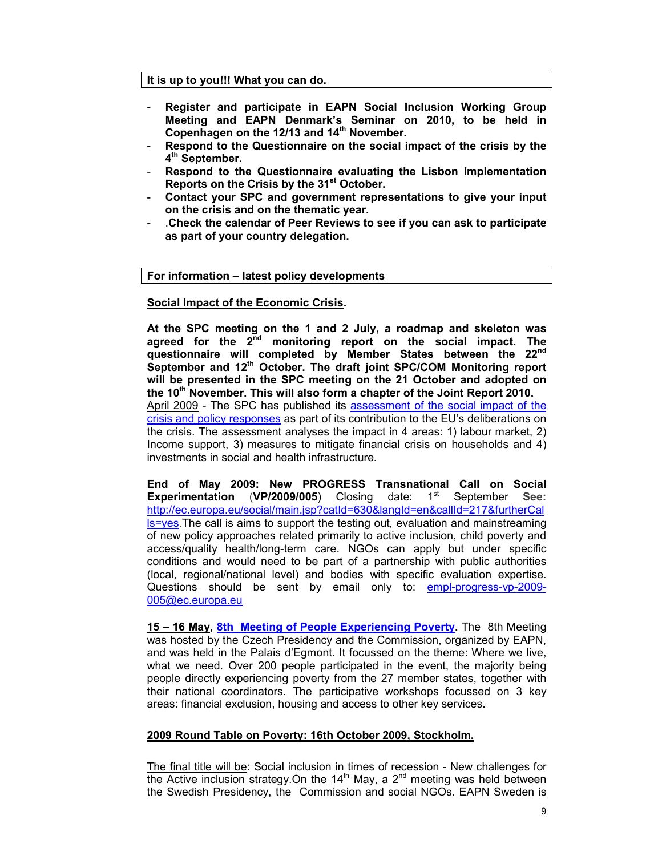#### **It is up to you!!! What you can do.**

- **Register and participate in EAPN Social Inclusion Working Group Meeting and EAPN Denmark's Seminar on 2010, to be held in Copenhagen on the 12/13 and 14th November.**
- **Respond to the Questionnaire on the social impact of the crisis by the 4 th September.**
- **Respond to the Questionnaire evaluating the Lisbon Implementation Reports on the Crisis by the 31st October.**
- **Contact your SPC and government representations to give your input on the crisis and on the thematic year.**
- .**Check the calendar of Peer Reviews to see if you can ask to participate as part of your country delegation.**

#### **For information – latest policy developments**

### **Social Impact of the Economic Crisis.**

**At the SPC meeting on the 1 and 2 July, a roadmap and skeleton was agreed for the 2nd monitoring report on the social impact. The questionnaire will completed by Member States between the 22nd September and 12th October. The draft joint SPC/COM Monitoring report will be presented in the SPC meeting on the 21 October and adopted on the 10th November. This will also form a chapter of the Joint Report 2010.**  April 2009 - The SPC has published its assessment of the social impact of the crisis and policy responses as part of its contribution to the EU's deliberations on the crisis. The assessment analyses the impact in 4 areas: 1) labour market, 2) Income support, 3) measures to mitigate financial crisis on households and 4) investments in social and health infrastructure.

**End of May 2009: New PROGRESS Transnational Call on Social Experimentation** (VP/2009/005) Closing date: 1<sup>st</sup> September See: http://ec.europa.eu/social/main.jsp?catId=630&langId=en&callId=217&furtherCal **IS=yes**. The call is aims to support the testing out, evaluation and mainstreaming of new policy approaches related primarily to active inclusion, child poverty and access/quality health/long-term care. NGOs can apply but under specific conditions and would need to be part of a partnership with public authorities (local, regional/national level) and bodies with specific evaluation expertise. Questions should be sent by email only to: empl-progress-vp-2009- 005@ec.europa.eu

**15 – 16 May, 8th Meeting of People Experiencing Poverty.** The 8th Meeting was hosted by the Czech Presidency and the Commission, organized by EAPN, and was held in the Palais d'Egmont. It focussed on the theme: Where we live, what we need. Over 200 people participated in the event, the majority being people directly experiencing poverty from the 27 member states, together with their national coordinators. The participative workshops focussed on 3 key areas: financial exclusion, housing and access to other key services.

#### **2009 Round Table on Poverty: 16th October 2009, Stockholm.**

The final title will be: Social inclusion in times of recession - New challenges for the Active inclusion strategy. On the  $14<sup>th</sup>$  May, a 2<sup>nd</sup> meeting was held between the Swedish Presidency, the Commission and social NGOs. EAPN Sweden is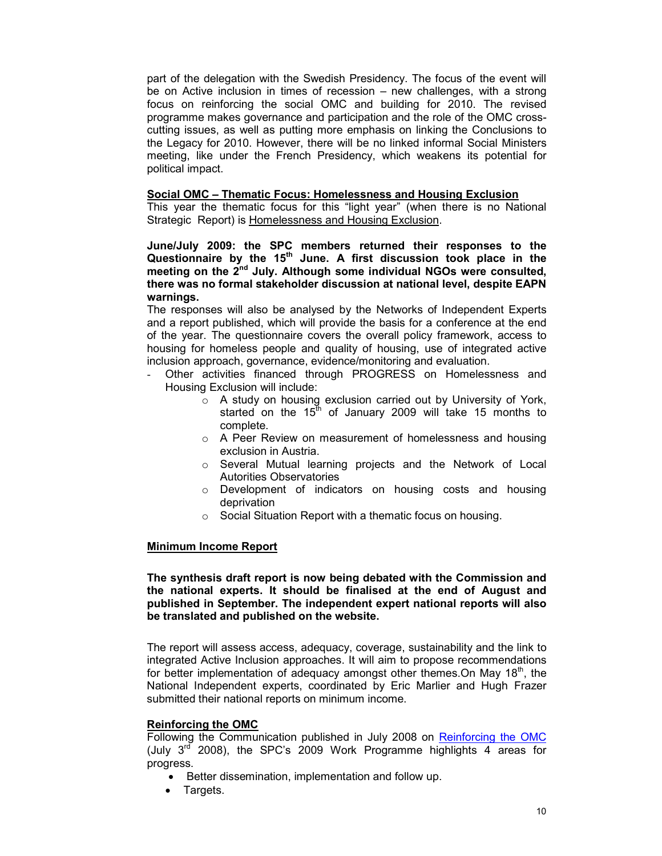part of the delegation with the Swedish Presidency. The focus of the event will be on Active inclusion in times of recession – new challenges, with a strong focus on reinforcing the social OMC and building for 2010. The revised programme makes governance and participation and the role of the OMC crosscutting issues, as well as putting more emphasis on linking the Conclusions to the Legacy for 2010. However, there will be no linked informal Social Ministers meeting, like under the French Presidency, which weakens its potential for political impact.

#### **Social OMC – Thematic Focus: Homelessness and Housing Exclusion**

This year the thematic focus for this "light year" (when there is no National Strategic Report) is Homelessness and Housing Exclusion.

**June/July 2009: the SPC members returned their responses to the Questionnaire by the 15th June. A first discussion took place in the meeting on the 2nd July. Although some individual NGOs were consulted, there was no formal stakeholder discussion at national level, despite EAPN warnings.** 

The responses will also be analysed by the Networks of Independent Experts and a report published, which will provide the basis for a conference at the end of the year. The questionnaire covers the overall policy framework, access to housing for homeless people and quality of housing, use of integrated active inclusion approach, governance, evidence/monitoring and evaluation.

- Other activities financed through PROGRESS on Homelessness and Housing Exclusion will include:
	- o A study on housing exclusion carried out by University of York, started on the  $15<sup>th</sup>$  of January 2009 will take 15 months to complete.
	- o A Peer Review on measurement of homelessness and housing exclusion in Austria.
	- o Several Mutual learning projects and the Network of Local Autorities Observatories
	- o Development of indicators on housing costs and housing deprivation
	- o Social Situation Report with a thematic focus on housing.

### **Minimum Income Report**

**The synthesis draft report is now being debated with the Commission and the national experts. It should be finalised at the end of August and published in September. The independent expert national reports will also be translated and published on the website.** 

The report will assess access, adequacy, coverage, sustainability and the link to integrated Active Inclusion approaches. It will aim to propose recommendations for better implementation of adequacy amongst other themes. On May 18<sup>th</sup>, the National Independent experts, coordinated by Eric Marlier and Hugh Frazer submitted their national reports on minimum income.

### **Reinforcing the OMC**

Following the Communication published in July 2008 on Reinforcing the OMC (July  $3^{rd}$  2008), the SPC's 2009 Work Programme highlights 4 areas for progress.

- Better dissemination, implementation and follow up.
- Targets.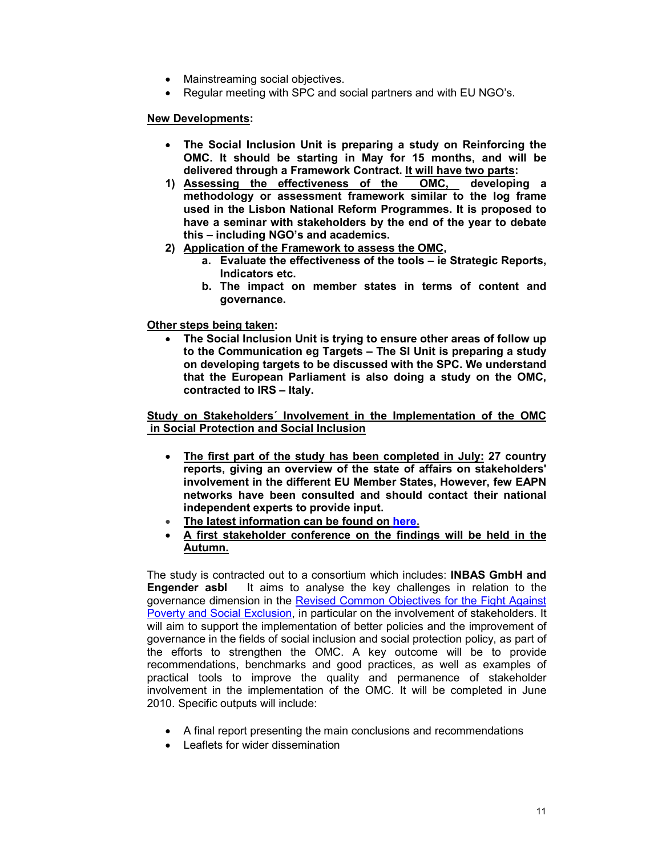- Mainstreaming social objectives.
- Regular meeting with SPC and social partners and with EU NGO's.

### **New Developments:**

- **The Social Inclusion Unit is preparing a study on Reinforcing the OMC. It should be starting in May for 15 months, and will be delivered through a Framework Contract. It will have two parts:**
- **1) Assessing the effectiveness of the OMC, developing a methodology or assessment framework similar to the log frame used in the Lisbon National Reform Programmes. It is proposed to have a seminar with stakeholders by the end of the year to debate this – including NGO's and academics.**
- **2) Application of the Framework to assess the OMC,** 
	- **a. Evaluate the effectiveness of the tools ie Strategic Reports, Indicators etc.**
	- **b. The impact on member states in terms of content and governance.**

**Other steps being taken:** 

• **The Social Inclusion Unit is trying to ensure other areas of follow up to the Communication eg Targets – The SI Unit is preparing a study on developing targets to be discussed with the SPC. We understand that the European Parliament is also doing a study on the OMC, contracted to IRS – Italy.** 

**Study on Stakeholders´ Involvement in the Implementation of the OMC in Social Protection and Social Inclusion**

- **The first part of the study has been completed in July: 27 country reports, giving an overview of the state of affairs on stakeholders' involvement in the different EU Member States, However, few EAPN networks have been consulted and should contact their national independent experts to provide input.**
- **The latest information can be found on here.**
- **A first stakeholder conference on the findings will be held in the Autumn.**

The study is contracted out to a consortium which includes: **INBAS GmbH and Engender asbl** It aims to analyse the key challenges in relation to the governance dimension in the Revised Common Objectives for the Fight Against Poverty and Social Exclusion, in particular on the involvement of stakeholders. It will aim to support the implementation of better policies and the improvement of governance in the fields of social inclusion and social protection policy, as part of the efforts to strengthen the OMC. A key outcome will be to provide recommendations, benchmarks and good practices, as well as examples of practical tools to improve the quality and permanence of stakeholder involvement in the implementation of the OMC. It will be completed in June 2010. Specific outputs will include:

- A final report presenting the main conclusions and recommendations
- Leaflets for wider dissemination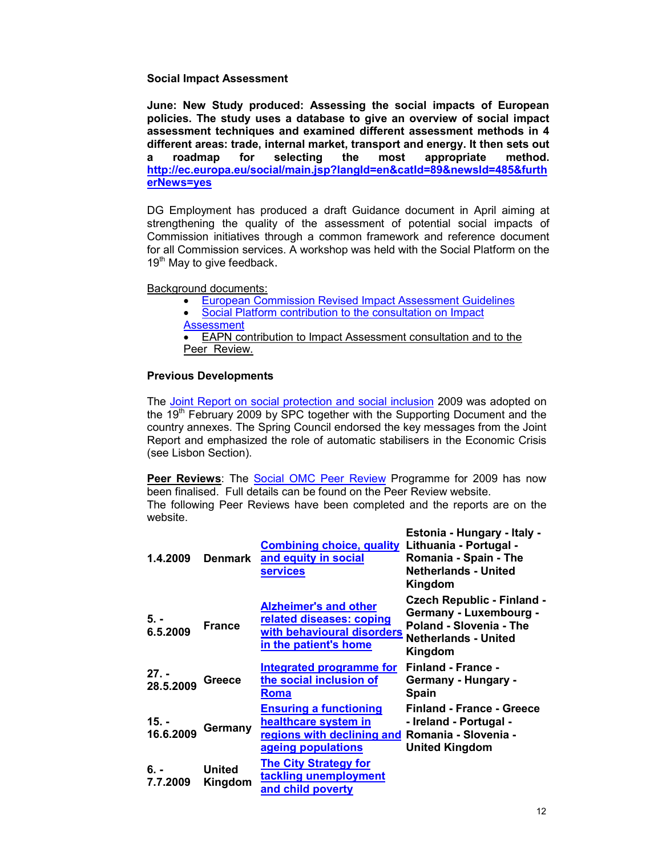#### **Social Impact Assessment**

**June: New Study produced: Assessing the social impacts of European policies. The study uses a database to give an overview of social impact assessment techniques and examined different assessment methods in 4 different areas: trade, internal market, transport and energy. It then sets out a roadmap for selecting the most appropriate method. http://ec.europa.eu/social/main.jsp?langId=en&catId=89&newsId=485&furth erNews=yes** 

DG Employment has produced a draft Guidance document in April aiming at strengthening the quality of the assessment of potential social impacts of Commission initiatives through a common framework and reference document for all Commission services. A workshop was held with the Social Platform on the 19<sup>th</sup> May to give feedback.

Background documents:

- European Commission Revised Impact Assessment Guidelines
- Social Platform contribution to the consultation on Impact
- Assessment

• EAPN contribution to Impact Assessment consultation and to the Peer Review.

### **Previous Developments**

The Joint Report on social protection and social inclusion 2009 was adopted on the 19<sup>th</sup> February 2009 by SPC together with the Supporting Document and the country annexes. The Spring Council endorsed the key messages from the Joint Report and emphasized the role of automatic stabilisers in the Economic Crisis (see Lisbon Section).

**Peer Reviews**: The Social OMC Peer Review Programme for 2009 has now been finalised. Full details can be found on the Peer Review website. The following Peer Reviews have been completed and the reports are on the website.

| 1.4.2009             | <b>Denmark</b>           | <b>Combining choice, quality</b><br>and equity in social<br><b>services</b>                                                    | Estonia - Hungary - Italy -<br>Lithuania - Portugal -<br>Romania - Spain - The<br><b>Netherlands - United</b><br>Kingdom         |
|----------------------|--------------------------|--------------------------------------------------------------------------------------------------------------------------------|----------------------------------------------------------------------------------------------------------------------------------|
| 5. -<br>6.5.2009     | <b>France</b>            | <b>Alzheimer's and other</b><br>related diseases: coping<br>with behavioural disorders<br>in the patient's home                | <b>Czech Republic - Finland -</b><br>Germany - Luxembourg -<br>Poland - Slovenia - The<br><b>Netherlands - United</b><br>Kingdom |
| $27. -$<br>28.5.2009 | <b>Greece</b>            | Integrated programme for<br>the social inclusion of<br><b>Roma</b>                                                             | <b>Finland - France -</b><br>Germany - Hungary -<br><b>Spain</b>                                                                 |
| $15. -$<br>16.6.2009 | Germany                  | <b>Ensuring a functioning</b><br>healthcare system in<br>regions with declining and Romania - Slovenia -<br>ageing populations | Finland - France - Greece<br>- Ireland - Portugal -<br><b>United Kingdom</b>                                                     |
| 6. -<br>7.7.2009     | <b>United</b><br>Kingdom | <b>The City Strategy for</b><br>tackling unemployment<br>and child poverty                                                     |                                                                                                                                  |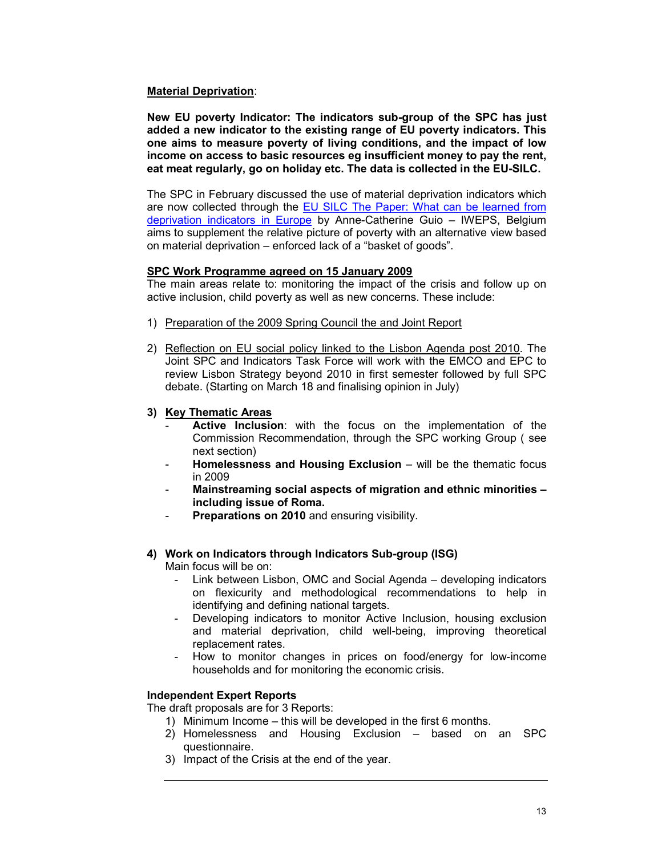### **Material Deprivation**:

**New EU poverty Indicator: The indicators sub-group of the SPC has just added a new indicator to the existing range of EU poverty indicators. This one aims to measure poverty of living conditions, and the impact of low income on access to basic resources eg insufficient money to pay the rent, eat meat regularly, go on holiday etc. The data is collected in the EU-SILC.** 

The SPC in February discussed the use of material deprivation indicators which are now collected through the **EU SILC The Paper: What can be learned from** deprivation indicators in Europe by Anne-Catherine Guio – IWEPS, Belgium aims to supplement the relative picture of poverty with an alternative view based on material deprivation – enforced lack of a "basket of goods".

### **SPC Work Programme agreed on 15 January 2009**

The main areas relate to: monitoring the impact of the crisis and follow up on active inclusion, child poverty as well as new concerns. These include:

- 1) Preparation of the 2009 Spring Council the and Joint Report
- 2) Reflection on EU social policy linked to the Lisbon Agenda post 2010. The Joint SPC and Indicators Task Force will work with the EMCO and EPC to review Lisbon Strategy beyond 2010 in first semester followed by full SPC debate. (Starting on March 18 and finalising opinion in July)
- **3) Key Thematic Areas**
	- **Active Inclusion**: with the focus on the implementation of the Commission Recommendation, through the SPC working Group ( see next section)
	- Homelessness and Housing Exclusion will be the thematic focus in 2009
	- **Mainstreaming social aspects of migration and ethnic minorities including issue of Roma.**
	- **Preparations on 2010** and ensuring visibility.

## **4) Work on Indicators through Indicators Sub-group (ISG)**

Main focus will be on:

- Link between Lisbon, OMC and Social Agenda developing indicators on flexicurity and methodological recommendations to help in identifying and defining national targets.
- Developing indicators to monitor Active Inclusion, housing exclusion and material deprivation, child well-being, improving theoretical replacement rates.
- How to monitor changes in prices on food/energy for low-income households and for monitoring the economic crisis.

### **Independent Expert Reports**

The draft proposals are for 3 Reports:

- 1) Minimum Income this will be developed in the first 6 months.
- 2) Homelessness and Housing Exclusion based on an SPC questionnaire.
- 3) Impact of the Crisis at the end of the year.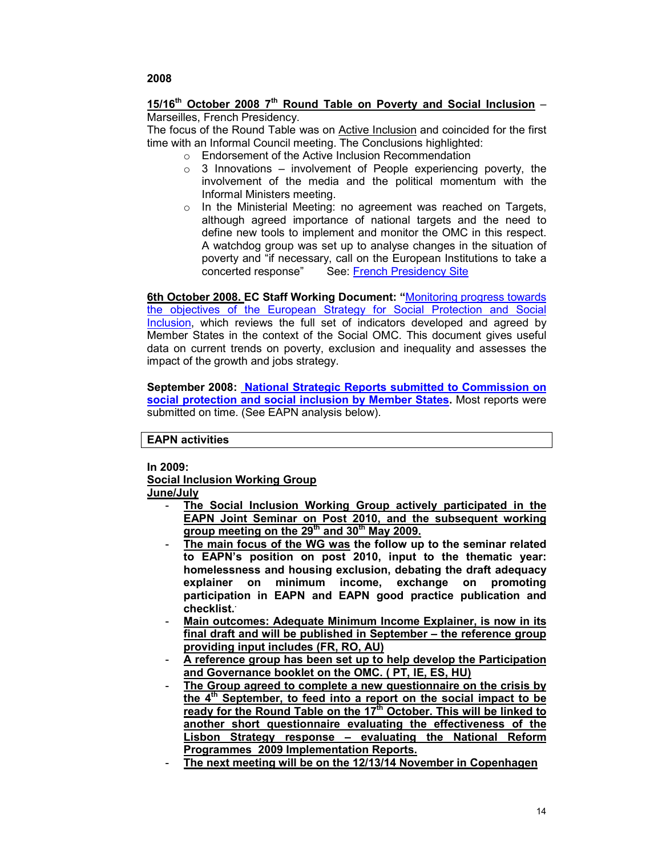#### **15/16th October 2008 7th Round Table on Poverty and Social Inclusion** – Marseilles, French Presidency.

The focus of the Round Table was on **Active Inclusion** and coincided for the first time with an Informal Council meeting. The Conclusions highlighted:

- o Endorsement of the Active Inclusion Recommendation
	- $\circ$  3 Innovations involvement of People experiencing poverty, the involvement of the media and the political momentum with the Informal Ministers meeting.
- o In the Ministerial Meeting: no agreement was reached on Targets, although agreed importance of national targets and the need to define new tools to implement and monitor the OMC in this respect. A watchdog group was set up to analyse changes in the situation of poverty and "if necessary, call on the European Institutions to take a concerted response" See: French Presidency Site

**6th October 2008. EC Staff Working Document: "**Monitoring progress towards the objectives of the European Strategy for Social Protection and Social Inclusion, which reviews the full set of indicators developed and agreed by Member States in the context of the Social OMC. This document gives useful data on current trends on poverty, exclusion and inequality and assesses the impact of the growth and jobs strategy.

**September 2008: National Strategic Reports submitted to Commission on social protection and social inclusion by Member States.** Most reports were submitted on time. (See EAPN analysis below).

**EAPN activities** 

**In 2009:** 

**Social Inclusion Working Group**

**June/July**

- **The Social Inclusion Working Group actively participated in the EAPN Joint Seminar on Post 2010, and the subsequent working group meeting on the 29th and 30th May 2009.**
- **The main focus of the WG was the follow up to the seminar related to EAPN's position on post 2010, input to the thematic year: homelessness and housing exclusion, debating the draft adequacy explainer on minimum income, exchange on promoting participation in EAPN and EAPN good practice publication and checklist..**
- Main outcomes: Adequate Minimum Income Explainer, is now in its **final draft and will be published in September – the reference group providing input includes (FR, RO, AU)**
- **A reference group has been set up to help develop the Participation and Governance booklet on the OMC. ( PT, IE, ES, HU)**
- **The Group agreed to complete a new questionnaire on the crisis by the 4th September, to feed into a report on the social impact to be ready for the Round Table on the 17th October. This will be linked to another short questionnaire evaluating the effectiveness of the Lisbon Strategy response – evaluating the National Reform Programmes 2009 Implementation Reports.**
- **The next meeting will be on the 12/13/14 November in Copenhagen**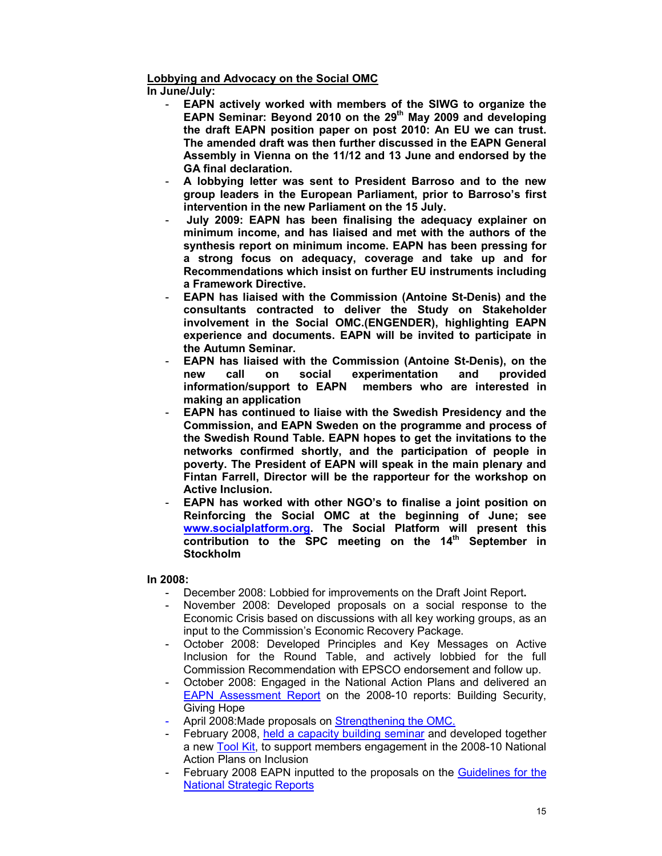### **Lobbying and Advocacy on the Social OMC**

**In June/July:**

- **EAPN actively worked with members of the SIWG to organize the EAPN Seminar: Beyond 2010 on the 29th May 2009 and developing the draft EAPN position paper on post 2010: An EU we can trust. The amended draft was then further discussed in the EAPN General Assembly in Vienna on the 11/12 and 13 June and endorsed by the GA final declaration.**
- **A lobbying letter was sent to President Barroso and to the new group leaders in the European Parliament, prior to Barroso's first intervention in the new Parliament on the 15 July.**
- **July 2009: EAPN has been finalising the adequacy explainer on minimum income, and has liaised and met with the authors of the synthesis report on minimum income. EAPN has been pressing for a strong focus on adequacy, coverage and take up and for Recommendations which insist on further EU instruments including a Framework Directive.**
- **EAPN has liaised with the Commission (Antoine St-Denis) and the consultants contracted to deliver the Study on Stakeholder involvement in the Social OMC.(ENGENDER), highlighting EAPN experience and documents. EAPN will be invited to participate in the Autumn Seminar.**
- **EAPN has liaised with the Commission (Antoine St-Denis), on the new call on social experimentation and provided information/support to EAPN members who are interested in making an application**
- **EAPN has continued to liaise with the Swedish Presidency and the Commission, and EAPN Sweden on the programme and process of the Swedish Round Table. EAPN hopes to get the invitations to the networks confirmed shortly, and the participation of people in poverty. The President of EAPN will speak in the main plenary and Fintan Farrell, Director will be the rapporteur for the workshop on Active Inclusion.**
- **EAPN has worked with other NGO's to finalise a joint position on Reinforcing the Social OMC at the beginning of June; see www.socialplatform.org. The Social Platform will present this contribution to the SPC meeting on the 14th September in Stockholm**

#### **In 2008:**

- December 2008: Lobbied for improvements on the Draft Joint Report**.**
- November 2008: Developed proposals on a social response to the Economic Crisis based on discussions with all key working groups, as an input to the Commission's Economic Recovery Package.
- October 2008: Developed Principles and Key Messages on Active Inclusion for the Round Table, and actively lobbied for the full Commission Recommendation with EPSCO endorsement and follow up.
- October 2008: Engaged in the National Action Plans and delivered an EAPN Assessment Report on the 2008-10 reports: Building Security, Giving Hope
- April 2008: Made proposals on Strengthening the OMC.
- February 2008, held a capacity building seminar and developed together a new Tool Kit, to support members engagement in the 2008-10 National Action Plans on Inclusion
- February 2008 EAPN inputted to the proposals on the Guidelines for the National Strategic Reports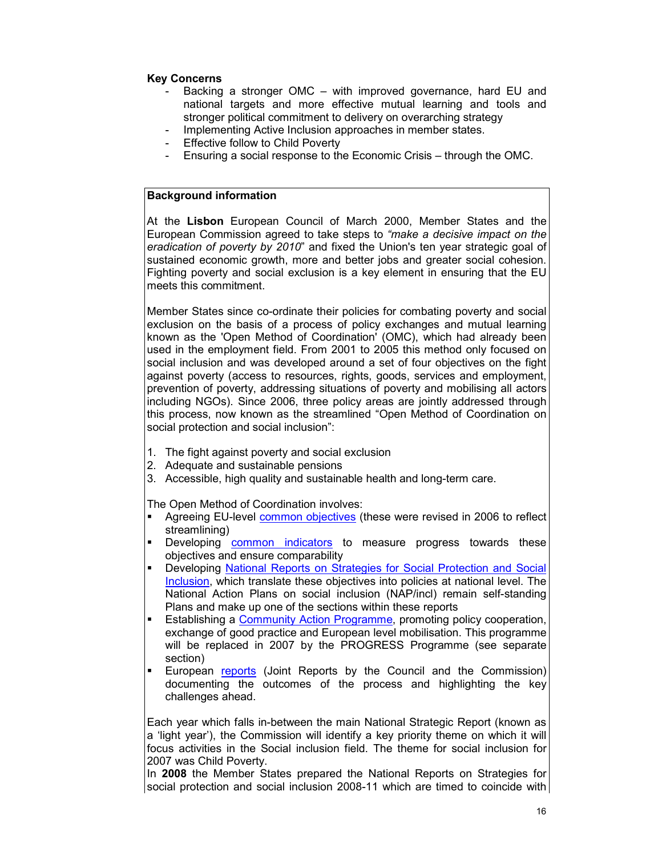### **Key Concerns**

- Backing a stronger OMC with improved governance, hard EU and national targets and more effective mutual learning and tools and stronger political commitment to delivery on overarching strategy
- Implementing Active Inclusion approaches in member states.
- Effective follow to Child Poverty
- Ensuring a social response to the Economic Crisis through the OMC.

### **Background information**

At the **Lisbon** European Council of March 2000, Member States and the European Commission agreed to take steps to *"make a decisive impact on the eradication of poverty by 2010*" and fixed the Union's ten year strategic goal of sustained economic growth, more and better jobs and greater social cohesion. Fighting poverty and social exclusion is a key element in ensuring that the EU meets this commitment.

Member States since co-ordinate their policies for combating poverty and social exclusion on the basis of a process of policy exchanges and mutual learning known as the 'Open Method of Coordination' (OMC), which had already been used in the employment field. From 2001 to 2005 this method only focused on social inclusion and was developed around a set of four objectives on the fight against poverty (access to resources, rights, goods, services and employment, prevention of poverty, addressing situations of poverty and mobilising all actors including NGOs). Since 2006, three policy areas are jointly addressed through this process, now known as the streamlined "Open Method of Coordination on social protection and social inclusion":

- 1. The fight against poverty and social exclusion
- 2. Adequate and sustainable pensions
- 3. Accessible, high quality and sustainable health and long-term care.

The Open Method of Coordination involves:

- Agreeing EU-level common objectives (these were revised in 2006 to reflect streamlining)
- Developing **common** indicators to measure progress towards these objectives and ensure comparability
- Developing National Reports on Strategies for Social Protection and Social Inclusion, which translate these objectives into policies at national level. The National Action Plans on social inclusion (NAP/incl) remain self-standing Plans and make up one of the sections within these reports
- Establishing a Community Action Programme, promoting policy cooperation, exchange of good practice and European level mobilisation. This programme will be replaced in 2007 by the PROGRESS Programme (see separate section)
- European reports (Joint Reports by the Council and the Commission) documenting the outcomes of the process and highlighting the key challenges ahead.

Each year which falls in-between the main National Strategic Report (known as a 'light year'), the Commission will identify a key priority theme on which it will focus activities in the Social inclusion field. The theme for social inclusion for 2007 was Child Poverty.

In **2008** the Member States prepared the National Reports on Strategies for social protection and social inclusion 2008-11 which are timed to coincide with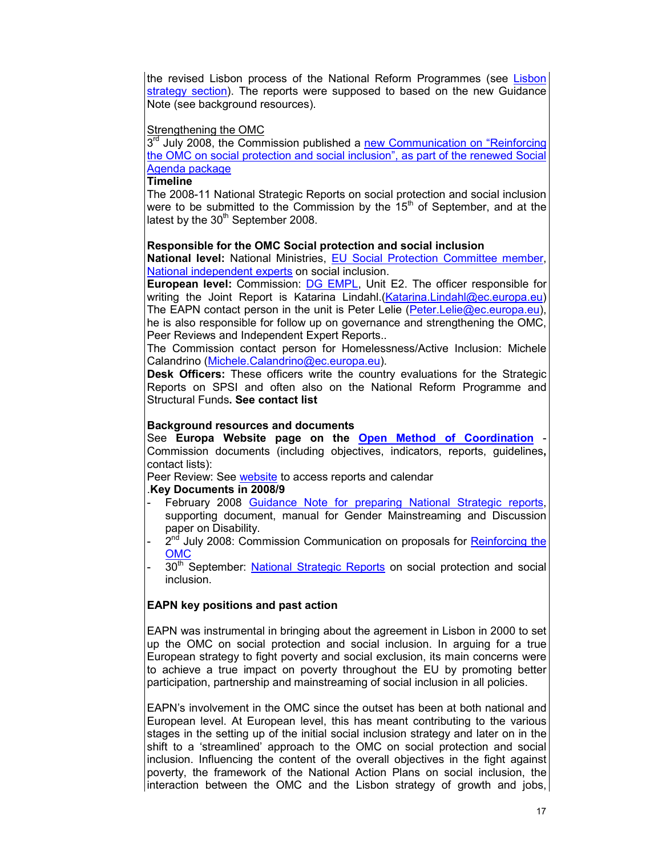the revised Lisbon process of the National Reform Programmes (see Lisbon strategy section). The reports were supposed to based on the new Guidance Note (see background resources).

#### Strengthening the OMC

3<sup>rd</sup> July 2008, the Commission published a new Communication on "Reinforcing the OMC on social protection and social inclusion", as part of the renewed Social Agenda package

#### **Timeline**

The 2008-11 National Strategic Reports on social protection and social inclusion were to be submitted to the Commission by the  $15<sup>th</sup>$  of September, and at the latest by the  $30<sup>th</sup>$  September 2008.

#### **Responsible for the OMC Social protection and social inclusion**

**National level:** National Ministries, EU Social Protection Committee member, National independent experts on social inclusion.

**European level:** Commission: DG EMPL, Unit E2. The officer responsible for writing the Joint Report is Katarina Lindahl.(Katarina.Lindahl@ec.europa.eu) The EAPN contact person in the unit is Peter Lelie (Peter.Lelie@ec.europa.eu), he is also responsible for follow up on governance and strengthening the OMC, Peer Reviews and Independent Expert Reports..

The Commission contact person for Homelessness/Active Inclusion: Michele Calandrino (Michele.Calandrino@ec.europa.eu).

**Desk Officers:** These officers write the country evaluations for the Strategic Reports on SPSI and often also on the National Reform Programme and Structural Funds**. See contact list**

#### **Background resources and documents**

See **Europa Website page on the Open Method of Coordination** - Commission documents (including objectives, indicators, reports, guidelines**,** contact lists):

Peer Review: See website to access reports and calendar

#### .**Key Documents in 2008/9**

- February 2008 Guidance Note for preparing National Strategic reports, supporting document, manual for Gender Mainstreaming and Discussion paper on Disability.
- 2<sup>nd</sup> July 2008: Commission Communication on proposals for Reinforcing the OMC
- 30<sup>th</sup> September: National Strategic Reports on social protection and social inclusion.

### **EAPN key positions and past action**

EAPN was instrumental in bringing about the agreement in Lisbon in 2000 to set up the OMC on social protection and social inclusion. In arguing for a true European strategy to fight poverty and social exclusion, its main concerns were to achieve a true impact on poverty throughout the EU by promoting better participation, partnership and mainstreaming of social inclusion in all policies.

EAPN's involvement in the OMC since the outset has been at both national and European level. At European level, this has meant contributing to the various stages in the setting up of the initial social inclusion strategy and later on in the shift to a 'streamlined' approach to the OMC on social protection and social inclusion. Influencing the content of the overall objectives in the fight against poverty, the framework of the National Action Plans on social inclusion, the interaction between the OMC and the Lisbon strategy of growth and jobs,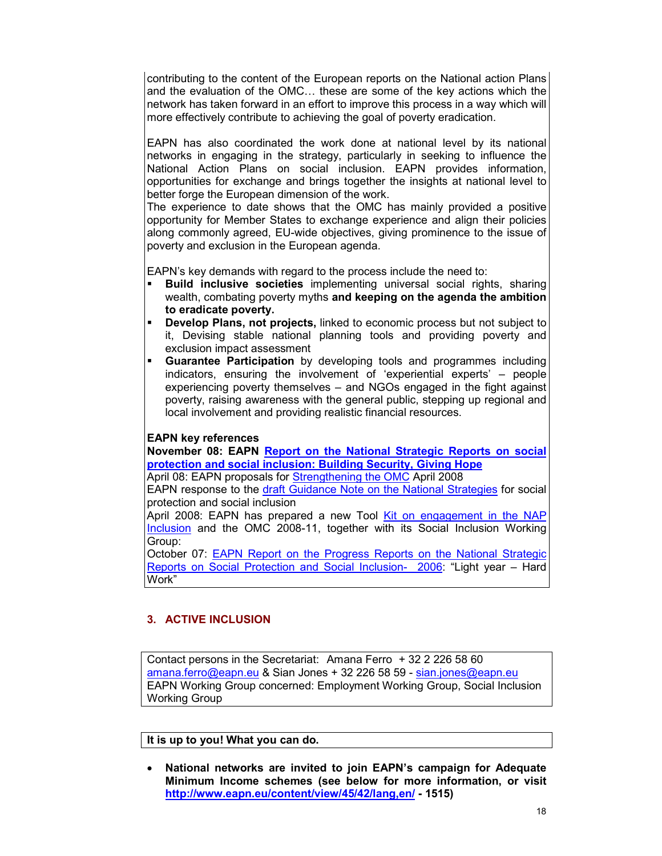contributing to the content of the European reports on the National action Plans and the evaluation of the OMC… these are some of the key actions which the network has taken forward in an effort to improve this process in a way which will more effectively contribute to achieving the goal of poverty eradication.

EAPN has also coordinated the work done at national level by its national networks in engaging in the strategy, particularly in seeking to influence the National Action Plans on social inclusion. EAPN provides information, opportunities for exchange and brings together the insights at national level to better forge the European dimension of the work.

The experience to date shows that the OMC has mainly provided a positive opportunity for Member States to exchange experience and align their policies along commonly agreed, EU-wide objectives, giving prominence to the issue of poverty and exclusion in the European agenda.

EAPN's key demands with regard to the process include the need to:

- **Build inclusive societies** implementing universal social rights, sharing wealth, combating poverty myths **and keeping on the agenda the ambition to eradicate poverty.**
- **Develop Plans, not projects,** linked to economic process but not subject to it, Devising stable national planning tools and providing poverty and exclusion impact assessment
- **Guarantee Participation** by developing tools and programmes including indicators, ensuring the involvement of 'experiential experts' – people experiencing poverty themselves – and NGOs engaged in the fight against poverty, raising awareness with the general public, stepping up regional and local involvement and providing realistic financial resources.

### **EAPN key references**

**November 08: EAPN Report on the National Strategic Reports on social protection and social inclusion: Building Security, Giving Hope**

April 08: EAPN proposals for Strengthening the OMC April 2008

EAPN response to the draft Guidance Note on the National Strategies for social protection and social inclusion

April 2008: EAPN has prepared a new Tool Kit on engagement in the NAP Inclusion and the OMC 2008-11, together with its Social Inclusion Working Group:

October 07: EAPN Report on the Progress Reports on the National Strategic Reports on Social Protection and Social Inclusion- 2006: "Light year – Hard Work"

### **3. ACTIVE INCLUSION**

Contact persons in the Secretariat: Amana Ferro + 32 2 226 58 60 amana.ferro@eapn.eu & Sian Jones + 32 226 58 59 - sian.jones@eapn.eu EAPN Working Group concerned: Employment Working Group, Social Inclusion Working Group

**It is up to you! What you can do.** 

• **National networks are invited to join EAPN's campaign for Adequate Minimum Income schemes (see below for more information, or visit http://www.eapn.eu/content/view/45/42/lang,en/ - 1515)**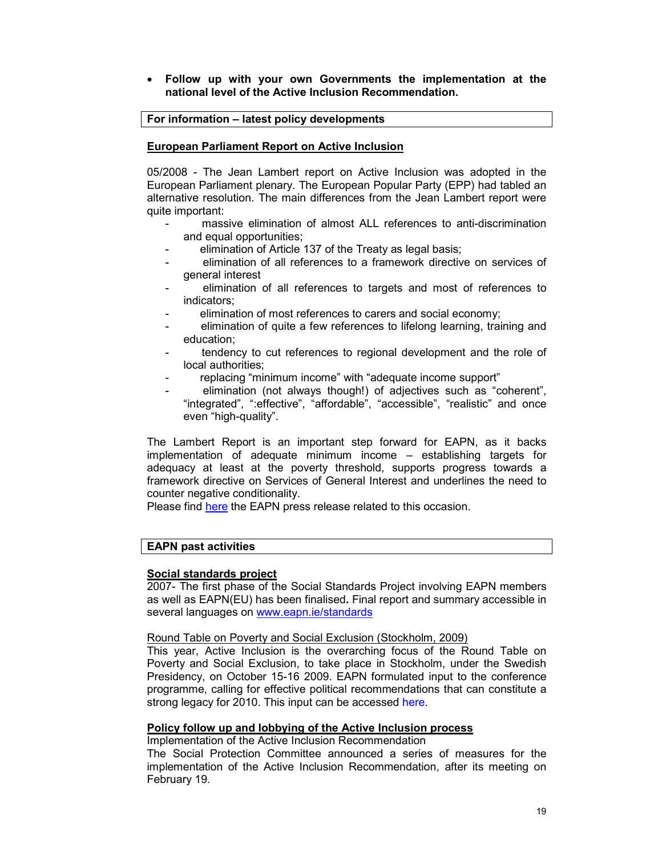#### • **Follow up with your own Governments the implementation at the national level of the Active Inclusion Recommendation.**

### **For information – latest policy developments**

### **European Parliament Report on Active Inclusion**

05/2008 - The Jean Lambert report on Active Inclusion was adopted in the European Parliament plenary. The European Popular Party (EPP) had tabled an alternative resolution. The main differences from the Jean Lambert report were quite important:

- massive elimination of almost ALL references to anti-discrimination and equal opportunities;
- elimination of Article 137 of the Treaty as legal basis;
- elimination of all references to a framework directive on services of general interest
- elimination of all references to targets and most of references to indicators;
- elimination of most references to carers and social economy;
- elimination of quite a few references to lifelong learning, training and education;
- tendency to cut references to regional development and the role of local authorities;
- replacing "minimum income" with "adequate income support"
- elimination (not always though!) of adjectives such as "coherent", "integrated", ":effective", "affordable", "accessible", "realistic" and once even "high-quality".

The Lambert Report is an important step forward for EAPN, as it backs implementation of adequate minimum income – establishing targets for adequacy at least at the poverty threshold, supports progress towards a framework directive on Services of General Interest and underlines the need to counter negative conditionality.

Please find here the EAPN press release related to this occasion.

## **EAPN past activities**

### **Social standards project**

2007- The first phase of the Social Standards Project involving EAPN members as well as EAPN(EU) has been finalised**.** Final report and summary accessible in several languages on www.eapn.ie/standards

#### Round Table on Poverty and Social Exclusion (Stockholm, 2009)

This year, Active Inclusion is the overarching focus of the Round Table on Poverty and Social Exclusion, to take place in Stockholm, under the Swedish Presidency, on October 15-16 2009. EAPN formulated input to the conference programme, calling for effective political recommendations that can constitute a strong legacy for 2010. This input can be accessed here.

#### **Policy follow up and lobbying of the Active Inclusion process**

Implementation of the Active Inclusion Recommendation

The Social Protection Committee announced a series of measures for the implementation of the Active Inclusion Recommendation, after its meeting on February 19.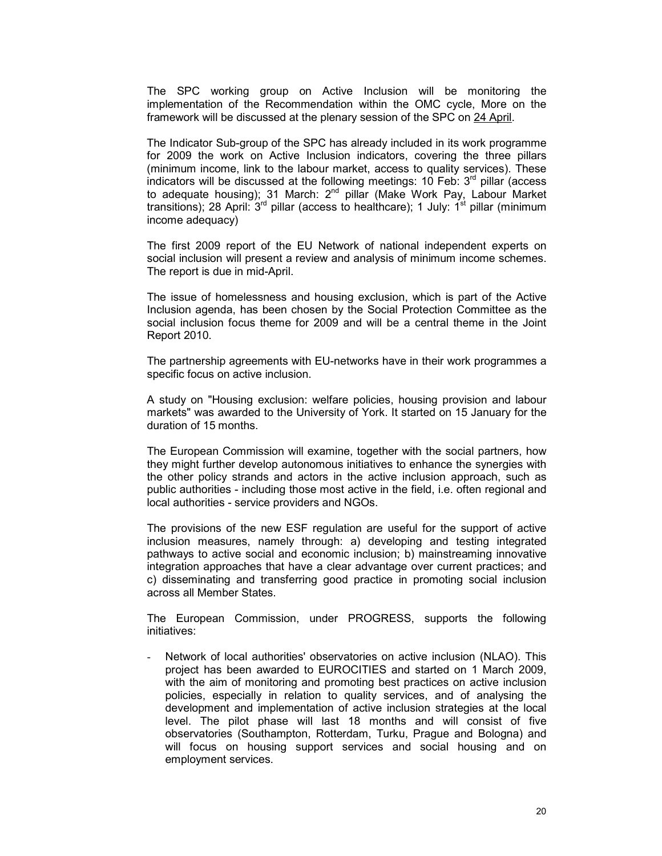The SPC working group on Active Inclusion will be monitoring the implementation of the Recommendation within the OMC cycle, More on the framework will be discussed at the plenary session of the SPC on 24 April.

The Indicator Sub-group of the SPC has already included in its work programme for 2009 the work on Active Inclusion indicators, covering the three pillars (minimum income, link to the labour market, access to quality services). These indicators will be discussed at the following meetings:  $10$  Feb:  $3<sup>rd</sup>$  pillar (access to adequate housing); 31 March: 2<sup>nd</sup> pillar (Make Work Pay, Labour Market transitions); 28 April:  $3^{rd}$  pillar (access to healthcare); 1 July:  $1^{st}$  pillar (minimum income adequacy)

The first 2009 report of the EU Network of national independent experts on social inclusion will present a review and analysis of minimum income schemes. The report is due in mid-April.

The issue of homelessness and housing exclusion, which is part of the Active Inclusion agenda, has been chosen by the Social Protection Committee as the social inclusion focus theme for 2009 and will be a central theme in the Joint Report 2010.

The partnership agreements with EU-networks have in their work programmes a specific focus on active inclusion.

A study on "Housing exclusion: welfare policies, housing provision and labour markets" was awarded to the University of York. It started on 15 January for the duration of 15 months.

The European Commission will examine, together with the social partners, how they might further develop autonomous initiatives to enhance the synergies with the other policy strands and actors in the active inclusion approach, such as public authorities - including those most active in the field, i.e. often regional and local authorities - service providers and NGOs.

The provisions of the new ESF regulation are useful for the support of active inclusion measures, namely through: a) developing and testing integrated pathways to active social and economic inclusion; b) mainstreaming innovative integration approaches that have a clear advantage over current practices; and c) disseminating and transferring good practice in promoting social inclusion across all Member States.

The European Commission, under PROGRESS, supports the following initiatives:

Network of local authorities' observatories on active inclusion (NLAO). This project has been awarded to EUROCITIES and started on 1 March 2009, with the aim of monitoring and promoting best practices on active inclusion policies, especially in relation to quality services, and of analysing the development and implementation of active inclusion strategies at the local level. The pilot phase will last 18 months and will consist of five observatories (Southampton, Rotterdam, Turku, Prague and Bologna) and will focus on housing support services and social housing and on employment services.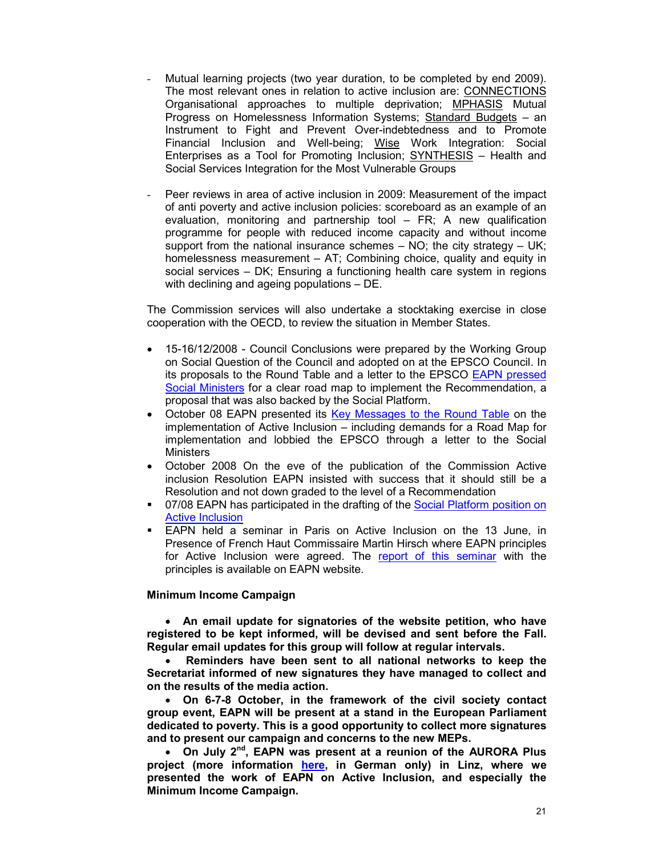- Mutual learning projects (two year duration, to be completed by end 2009). The most relevant ones in relation to active inclusion are: CONNECTIONS Organisational approaches to multiple deprivation; MPHASIS Mutual Progress on Homelessness Information Systems; Standard Budgets – an Instrument to Fight and Prevent Over-indebtedness and to Promote Financial Inclusion and Well-being; Wise Work Integration: Social Enterprises as a Tool for Promoting Inclusion; SYNTHESIS – Health and Social Services Integration for the Most Vulnerable Groups
- Peer reviews in area of active inclusion in 2009: Measurement of the impact of anti poverty and active inclusion policies: scoreboard as an example of an evaluation, monitoring and partnership tool – FR; A new qualification programme for people with reduced income capacity and without income support from the national insurance schemes – NO; the city strategy – UK; homelessness measurement – AT; Combining choice, quality and equity in social services – DK; Ensuring a functioning health care system in regions with declining and ageing populations – DE.

The Commission services will also undertake a stocktaking exercise in close cooperation with the OECD, to review the situation in Member States.

- 15-16/12/2008 Council Conclusions were prepared by the Working Group on Social Question of the Council and adopted on at the EPSCO Council. In its proposals to the Round Table and a letter to the EPSCO EAPN pressed Social Ministers for a clear road map to implement the Recommendation, a proposal that was also backed by the Social Platform.
- October 08 EAPN presented its Key Messages to the Round Table on the implementation of Active Inclusion – including demands for a Road Map for implementation and lobbied the EPSCO through a letter to the Social **Ministers**
- October 2008 On the eve of the publication of the Commission Active inclusion Resolution EAPN insisted with success that it should still be a Resolution and not down graded to the level of a Recommendation
- 07/08 EAPN has participated in the drafting of the Social Platform position on Active Inclusion
- EAPN held a seminar in Paris on Active Inclusion on the 13 June, in Presence of French Haut Commissaire Martin Hirsch where EAPN principles for Active Inclusion were agreed. The report of this seminar with the principles is available on EAPN website.

#### **Minimum Income Campaign**

• **An email update for signatories of the website petition, who have registered to be kept informed, will be devised and sent before the Fall. Regular email updates for this group will follow at regular intervals.** 

• **Reminders have been sent to all national networks to keep the Secretariat informed of new signatures they have managed to collect and on the results of the media action.** 

• **On 6-7-8 October, in the framework of the civil society contact group event, EAPN will be present at a stand in the European Parliament dedicated to poverty. This is a good opportunity to collect more signatures and to present our campaign and concerns to the new MEPs.** 

• **On July 2nd, EAPN was present at a reunion of the AURORA Plus project (more information here, in German only) in Linz, where we presented the work of EAPN on Active Inclusion, and especially the Minimum Income Campaign.**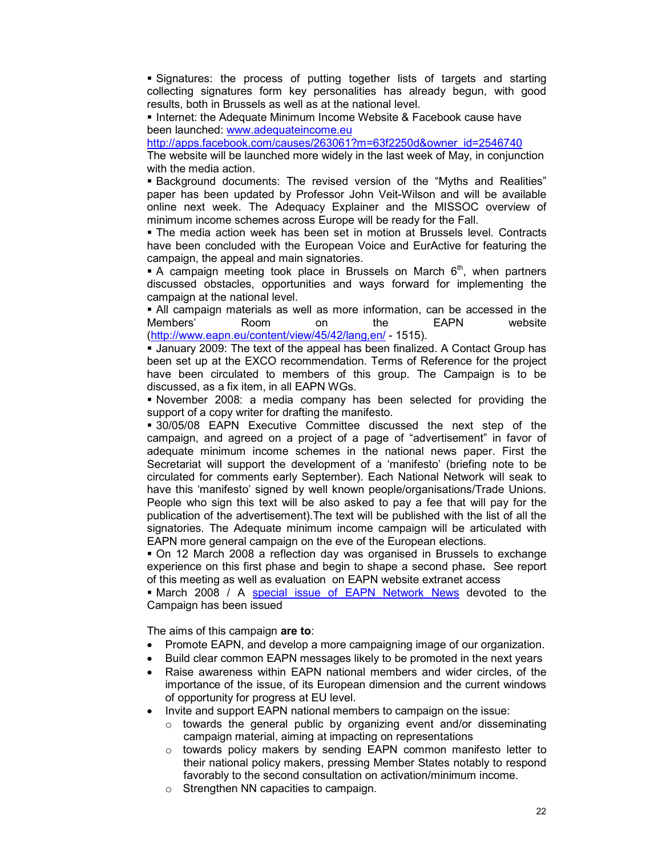Signatures: the process of putting together lists of targets and starting collecting signatures form key personalities has already begun, with good results, both in Brussels as well as at the national level.

Internet: the Adequate Minimum Income Website & Facebook cause have been launched: www.adequateincome.eu

http://apps.facebook.com/causes/263061?m=63f2250d&owner\_id=2546740

The website will be launched more widely in the last week of May, in conjunction with the media action.

 Background documents: The revised version of the "Myths and Realities" paper has been updated by Professor John Veit-Wilson and will be available online next week. The Adequacy Explainer and the MISSOC overview of minimum income schemes across Europe will be ready for the Fall.

 The media action week has been set in motion at Brussels level. Contracts have been concluded with the European Voice and EurActive for featuring the campaign, the appeal and main signatories.

A campaign meeting took place in Brussels on March  $6<sup>th</sup>$ , when partners discussed obstacles, opportunities and ways forward for implementing the campaign at the national level.

 All campaign materials as well as more information, can be accessed in the Members' Room on the EAPN website (http://www.eapn.eu/content/view/45/42/lang,en/ - 1515).

 January 2009: The text of the appeal has been finalized. A Contact Group has been set up at the EXCO recommendation. Terms of Reference for the project have been circulated to members of this group. The Campaign is to be discussed, as a fix item, in all EAPN WGs.

 November 2008: a media company has been selected for providing the support of a copy writer for drafting the manifesto.

 30/05/08 EAPN Executive Committee discussed the next step of the campaign, and agreed on a project of a page of "advertisement" in favor of adequate minimum income schemes in the national news paper. First the Secretariat will support the development of a 'manifesto' (briefing note to be circulated for comments early September). Each National Network will seak to have this 'manifesto' signed by well known people/organisations/Trade Unions. People who sign this text will be also asked to pay a fee that will pay for the publication of the advertisement).The text will be published with the list of all the signatories. The Adequate minimum income campaign will be articulated with EAPN more general campaign on the eve of the European elections.

 On 12 March 2008 a reflection day was organised in Brussels to exchange experience on this first phase and begin to shape a second phase**.** See report of this meeting as well as evaluation on EAPN website extranet access

**March 2008 / A special issue of EAPN Network News devoted to the** Campaign has been issued

The aims of this campaign **are to**:

- Promote EAPN, and develop a more campaigning image of our organization.
- Build clear common EAPN messages likely to be promoted in the next years
- Raise awareness within EAPN national members and wider circles, of the importance of the issue, of its European dimension and the current windows of opportunity for progress at EU level.
- Invite and support EAPN national members to campaign on the issue:
	- $\circ$  towards the general public by organizing event and/or disseminating campaign material, aiming at impacting on representations
	- o towards policy makers by sending EAPN common manifesto letter to their national policy makers, pressing Member States notably to respond favorably to the second consultation on activation/minimum income.
	- o Strengthen NN capacities to campaign.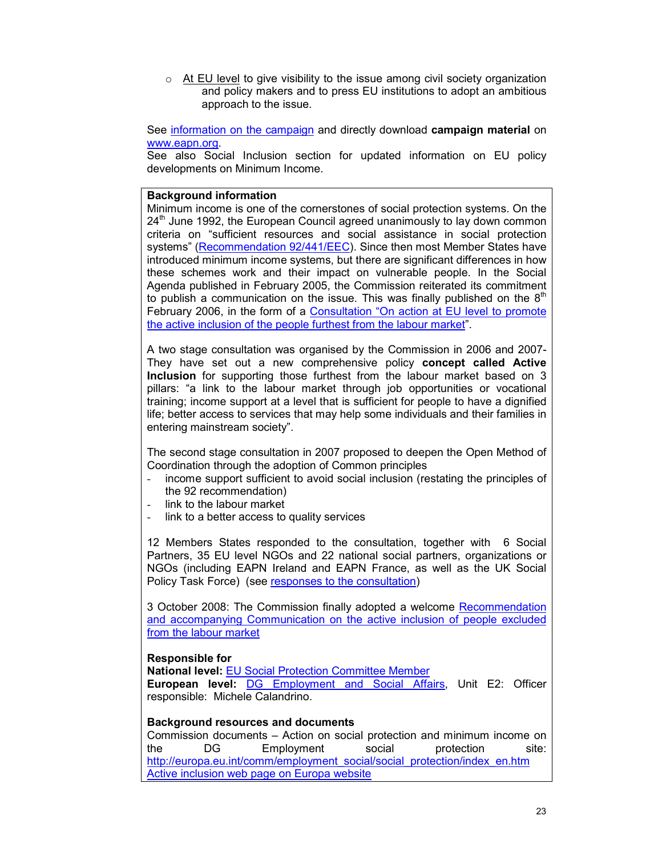$\circ$  At EU level to give visibility to the issue among civil society organization and policy makers and to press EU institutions to adopt an ambitious approach to the issue.

See information on the campaign and directly download **campaign material** on www.eapn.org.

See also Social Inclusion section for updated information on EU policy developments on Minimum Income.

#### **Background information**

Minimum income is one of the cornerstones of social protection systems. On the 24<sup>th</sup> June 1992, the European Council agreed unanimously to lay down common criteria on "sufficient resources and social assistance in social protection systems" (Recommendation 92/441/EEC). Since then most Member States have introduced minimum income systems, but there are significant differences in how these schemes work and their impact on vulnerable people. In the Social Agenda published in February 2005, the Commission reiterated its commitment to publish a communication on the issue. This was finally published on the  $8<sup>th</sup>$ February 2006, in the form of a Consultation "On action at EU level to promote the active inclusion of the people furthest from the labour market".

A two stage consultation was organised by the Commission in 2006 and 2007- They have set out a new comprehensive policy **concept called Active Inclusion** for supporting those furthest from the labour market based on 3 pillars: "a link to the labour market through job opportunities or vocational training; income support at a level that is sufficient for people to have a dignified life; better access to services that may help some individuals and their families in entering mainstream society".

The second stage consultation in 2007 proposed to deepen the Open Method of Coordination through the adoption of Common principles

- income support sufficient to avoid social inclusion (restating the principles of the 92 recommendation)
- link to the labour market
- link to a better access to quality services

12 Members States responded to the consultation, together with 6 Social Partners, 35 EU level NGOs and 22 national social partners, organizations or NGOs (including EAPN Ireland and EAPN France, as well as the UK Social Policy Task Force) (see responses to the consultation)

3 October 2008: The Commission finally adopted a welcome Recommendation and accompanying Communication on the active inclusion of people excluded from the labour market

### **Responsible for**

**National level:** EU Social Protection Committee Member

**European level:** DG Employment and Social Affairs, Unit E2: Officer responsible: Michele Calandrino.

#### **Background resources and documents**

Commission documents – Action on social protection and minimum income on the DG Employment social protection site: http://europa.eu.int/comm/employment\_social/social\_protection/index\_en.htm Active inclusion web page on Europa website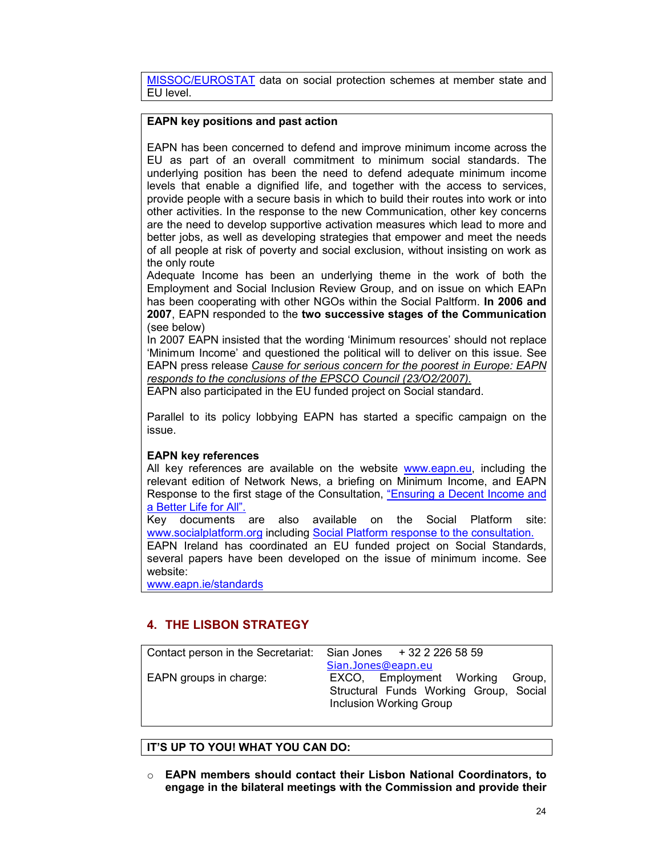MISSOC/EUROSTAT data on social protection schemes at member state and EU level.

### **EAPN key positions and past action**

EAPN has been concerned to defend and improve minimum income across the EU as part of an overall commitment to minimum social standards. The underlying position has been the need to defend adequate minimum income levels that enable a dignified life, and together with the access to services, provide people with a secure basis in which to build their routes into work or into other activities. In the response to the new Communication, other key concerns are the need to develop supportive activation measures which lead to more and better jobs, as well as developing strategies that empower and meet the needs of all people at risk of poverty and social exclusion, without insisting on work as the only route

Adequate Income has been an underlying theme in the work of both the Employment and Social Inclusion Review Group, and on issue on which EAPn has been cooperating with other NGOs within the Social Paltform. **In 2006 and 2007**, EAPN responded to the **two successive stages of the Communication** (see below)

In 2007 EAPN insisted that the wording 'Minimum resources' should not replace 'Minimum Income' and questioned the political will to deliver on this issue. See EAPN press release *Cause for serious concern for the poorest in Europe: EAPN responds to the conclusions of the EPSCO Council (23/O2/2007).*

EAPN also participated in the EU funded project on Social standard.

Parallel to its policy lobbying EAPN has started a specific campaign on the issue.

### **EAPN key references**

All key references are available on the website www.eapn.eu, including the relevant edition of Network News, a briefing on Minimum Income, and EAPN Response to the first stage of the Consultation, "Ensuring a Decent Income and a Better Life for All".

Key documents are also available on the Social Platform site: www.socialplatform.org including Social Platform response to the consultation.

EAPN Ireland has coordinated an EU funded project on Social Standards, several papers have been developed on the issue of minimum income. See website:

www.eapn.ie/standards

## **4. THE LISBON STRATEGY**

| Contact person in the Secretariat: | Sian Jones $+3222265859$                                                                           |
|------------------------------------|----------------------------------------------------------------------------------------------------|
| EAPN groups in charge:             | Sian.Jones@eapn.eu<br>EXCO, Employment Working<br>Group,<br>Structural Funds Working Group, Social |
|                                    | <b>Inclusion Working Group</b>                                                                     |

### **IT'S UP TO YOU! WHAT YOU CAN DO:**

o **EAPN members should contact their Lisbon National Coordinators, to engage in the bilateral meetings with the Commission and provide their**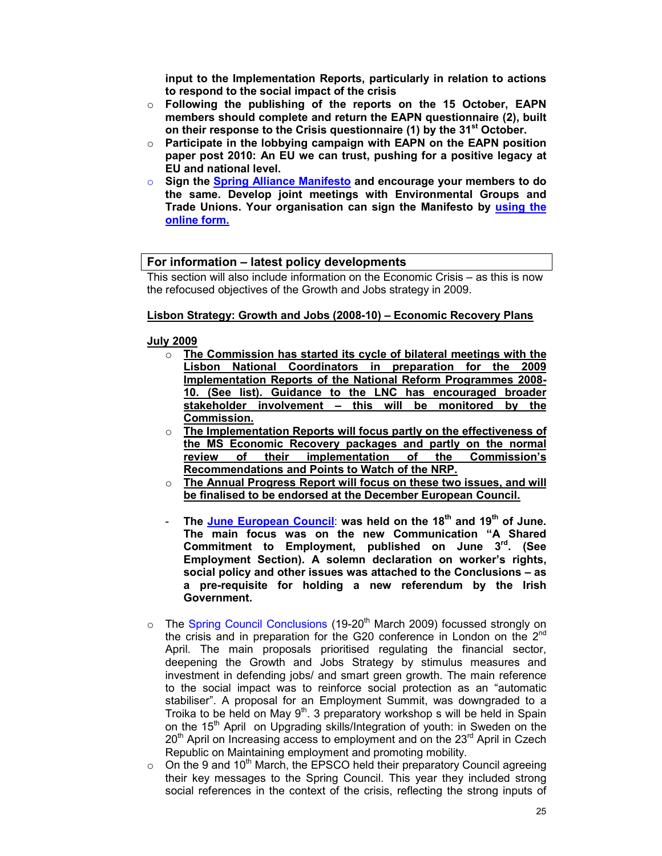**input to the Implementation Reports, particularly in relation to actions to respond to the social impact of the crisis** 

- o **Following the publishing of the reports on the 15 October, EAPN members should complete and return the EAPN questionnaire (2), built on their response to the Crisis questionnaire (1) by the 31st October.**
- o **Participate in the lobbying campaign with EAPN on the EAPN position paper post 2010: An EU we can trust, pushing for a positive legacy at EU and national level.**
- o **Sign the Spring Alliance Manifesto and encourage your members to do the same. Develop joint meetings with Environmental Groups and Trade Unions. Your organisation can sign the Manifesto by using the online form.**

### **For information – latest policy developments**

This section will also include information on the Economic Crisis – as this is now the refocused objectives of the Growth and Jobs strategy in 2009.

### **Lisbon Strategy: Growth and Jobs (2008-10) – Economic Recovery Plans**

### **July 2009**

- o **The Commission has started its cycle of bilateral meetings with the Lisbon National Coordinators in preparation for the 2009 Implementation Reports of the National Reform Programmes 2008- 10. (See list). Guidance to the LNC has encouraged broader stakeholder involvement – this will be monitored by the Commission.**
- o **The Implementation Reports will focus partly on the effectiveness of the MS Economic Recovery packages and partly on the normal**  of their implementation of the Commission's **Recommendations and Points to Watch of the NRP.**
- o **The Annual Progress Report will focus on these two issues, and will be finalised to be endorsed at the December European Council.**
- **The June European Council**: **was held on the 18th and 19th of June. The main focus was on the new Communication "A Shared Commitment to Employment, published on June 3rd. (See Employment Section). A solemn declaration on worker's rights, social policy and other issues was attached to the Conclusions – as a pre-requisite for holding a new referendum by the Irish Government.**
- $\circ$  The Spring Council Conclusions (19-20<sup>th</sup> March 2009) focussed strongly on the crisis and in preparation for the G20 conference in London on the 2nd April. The main proposals prioritised regulating the financial sector, deepening the Growth and Jobs Strategy by stimulus measures and investment in defending jobs/ and smart green growth. The main reference to the social impact was to reinforce social protection as an "automatic stabiliser". A proposal for an Employment Summit, was downgraded to a Troika to be held on May  $9<sup>th</sup>$ . 3 preparatory workshop s will be held in Spain on the 15<sup>th</sup> April on Upgrading skills/Integration of youth: in Sweden on the  $20<sup>th</sup>$  April on Increasing access to employment and on the  $23<sup>rd</sup>$  April in Czech Republic on Maintaining employment and promoting mobility.
- $\circ$  On the 9 and 10<sup>th</sup> March, the EPSCO held their preparatory Council agreeing their key messages to the Spring Council. This year they included strong social references in the context of the crisis, reflecting the strong inputs of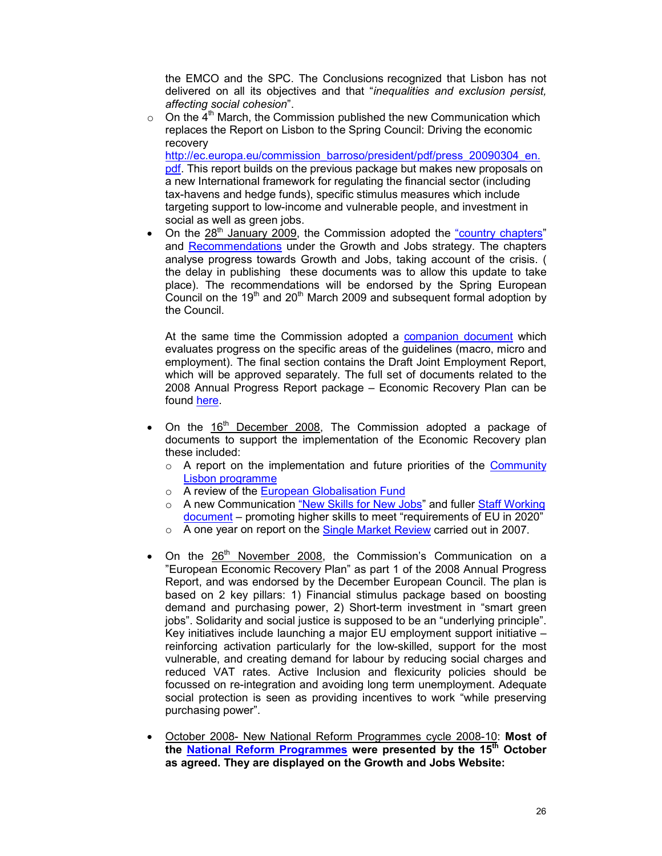the EMCO and the SPC. The Conclusions recognized that Lisbon has not delivered on all its objectives and that "*inequalities and exclusion persist, affecting social cohesion*".

 $\circ$  On the 4<sup>th</sup> March, the Commission published the new Communication which replaces the Report on Lisbon to the Spring Council: Driving the economic recovery

http://ec.europa.eu/commission\_barroso/president/pdf/press\_20090304\_en. pdf. This report builds on the previous package but makes new proposals on a new International framework for regulating the financial sector (including tax-havens and hedge funds), specific stimulus measures which include targeting support to low-income and vulnerable people, and investment in social as well as green jobs.

On the 28<sup>th</sup> January 2009, the Commission adopted the "country chapters" and Recommendations under the Growth and Jobs strategy. The chapters analyse progress towards Growth and Jobs, taking account of the crisis. ( the delay in publishing these documents was to allow this update to take place). The recommendations will be endorsed by the Spring European Council on the  $19<sup>th</sup>$  and  $20<sup>th</sup>$  March 2009 and subsequent formal adoption by the Council.

At the same time the Commission adopted a companion document which evaluates progress on the specific areas of the guidelines (macro, micro and employment). The final section contains the Draft Joint Employment Report, which will be approved separately. The full set of documents related to the 2008 Annual Progress Report package – Economic Recovery Plan can be found here.

- On the  $16<sup>th</sup>$  December 2008, The Commission adopted a package of documents to support the implementation of the Economic Recovery plan these included:
	- $\circ$  A report on the implementation and future priorities of the Community Lisbon programme
	- o A review of the European Globalisation Fund
	- o A new Communication "New Skills for New Jobs" and fuller Staff Working document – promoting higher skills to meet "requirements of EU in 2020"
	- $\circ$  A one year on report on the Single Market Review carried out in 2007.
- On the 26<sup>th</sup> November 2008, the Commission's Communication on a "European Economic Recovery Plan" as part 1 of the 2008 Annual Progress Report, and was endorsed by the December European Council. The plan is based on 2 key pillars: 1) Financial stimulus package based on boosting demand and purchasing power, 2) Short-term investment in "smart green jobs". Solidarity and social justice is supposed to be an "underlying principle". Key initiatives include launching a major EU employment support initiative – reinforcing activation particularly for the low-skilled, support for the most vulnerable, and creating demand for labour by reducing social charges and reduced VAT rates. Active Inclusion and flexicurity policies should be focussed on re-integration and avoiding long term unemployment. Adequate social protection is seen as providing incentives to work "while preserving purchasing power".
- October 2008- New National Reform Programmes cycle 2008-10: **Most of the National Reform Programmes were presented by the 15th October as agreed. They are displayed on the Growth and Jobs Website:**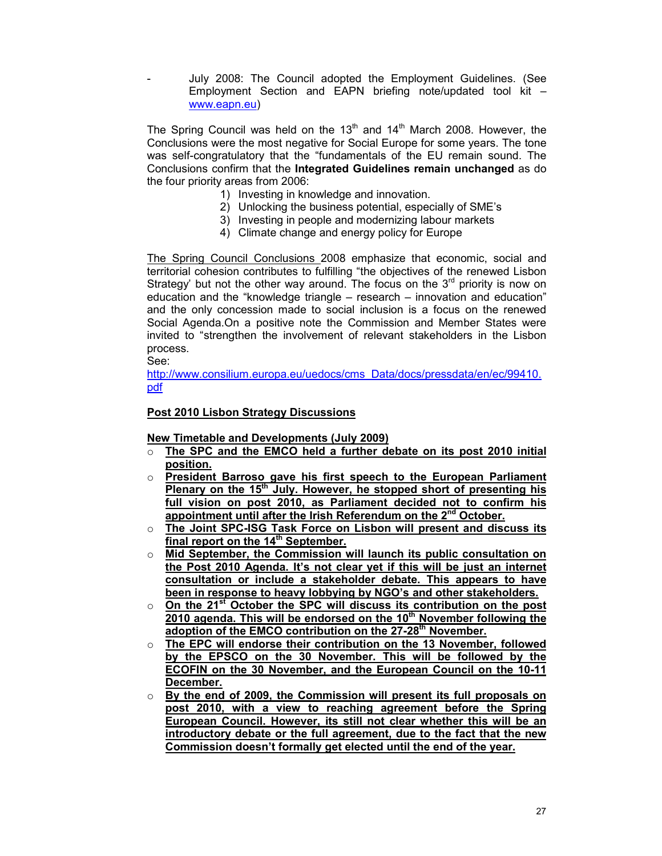- July 2008: The Council adopted the Employment Guidelines. (See Employment Section and EAPN briefing note/updated tool kit – www.eapn.eu)

The Spring Council was held on the  $13<sup>th</sup>$  and  $14<sup>th</sup>$  March 2008. However, the Conclusions were the most negative for Social Europe for some years. The tone was self-congratulatory that the "fundamentals of the EU remain sound. The Conclusions confirm that the **Integrated Guidelines remain unchanged** as do the four priority areas from 2006:

- 1) Investing in knowledge and innovation.
- 2) Unlocking the business potential, especially of SME's
- 3) Investing in people and modernizing labour markets
- 4) Climate change and energy policy for Europe

The Spring Council Conclusions 2008 emphasize that economic, social and territorial cohesion contributes to fulfilling "the objectives of the renewed Lisbon Strategy' but not the other way around. The focus on the  $3<sup>rd</sup>$  priority is now on education and the "knowledge triangle – research – innovation and education" and the only concession made to social inclusion is a focus on the renewed Social Agenda.On a positive note the Commission and Member States were invited to "strengthen the involvement of relevant stakeholders in the Lisbon process.

See:

http://www.consilium.europa.eu/uedocs/cms\_Data/docs/pressdata/en/ec/99410. pdf

### **Post 2010 Lisbon Strategy Discussions**

**New Timetable and Developments (July 2009)**

- o **The SPC and the EMCO held a further debate on its post 2010 initial position.**
- o **President Barroso gave his first speech to the European Parliament Plenary on the 15th July. However, he stopped short of presenting his full vision on post 2010, as Parliament decided not to confirm his appointment until after the Irish Referendum on the 2nd October.**
- o **The Joint SPC-ISG Task Force on Lisbon will present and discuss its final report on the 14th September.**
- o **Mid September, the Commission will launch its public consultation on the Post 2010 Agenda. It's not clear yet if this will be just an internet consultation or include a stakeholder debate. This appears to have been in response to heavy lobbying by NGO's and other stakeholders.**
- o **On the 21st October the SPC will discuss its contribution on the post 2010 agenda. This will be endorsed on the 10th November following the adoption of the EMCO contribution on the 27-28th November.**
- The EPC will endorse their contribution on the 13 November, followed **by the EPSCO on the 30 November. This will be followed by the ECOFIN on the 30 November, and the European Council on the 10-11 December.**
- o **By the end of 2009, the Commission will present its full proposals on post 2010, with a view to reaching agreement before the Spring European Council. However, its still not clear whether this will be an introductory debate or the full agreement, due to the fact that the new Commission doesn't formally get elected until the end of the year.**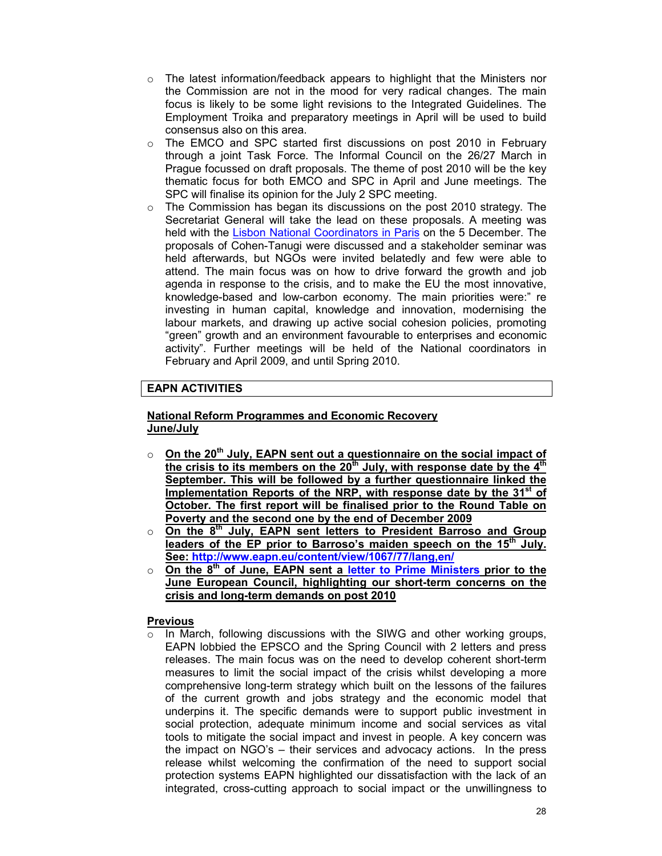- $\circ$  The latest information/feedback appears to highlight that the Ministers nor the Commission are not in the mood for very radical changes. The main focus is likely to be some light revisions to the Integrated Guidelines. The Employment Troika and preparatory meetings in April will be used to build consensus also on this area.
- o The EMCO and SPC started first discussions on post 2010 in February through a joint Task Force. The Informal Council on the 26/27 March in Prague focussed on draft proposals. The theme of post 2010 will be the key thematic focus for both EMCO and SPC in April and June meetings. The SPC will finalise its opinion for the July 2 SPC meeting.
- $\circ$  The Commission has began its discussions on the post 2010 strategy. The Secretariat General will take the lead on these proposals. A meeting was held with the Lisbon National Coordinators in Paris on the 5 December. The proposals of Cohen-Tanugi were discussed and a stakeholder seminar was held afterwards, but NGOs were invited belatedly and few were able to attend. The main focus was on how to drive forward the growth and job agenda in response to the crisis, and to make the EU the most innovative, knowledge-based and low-carbon economy. The main priorities were:" re investing in human capital, knowledge and innovation, modernising the labour markets, and drawing up active social cohesion policies, promoting "green" growth and an environment favourable to enterprises and economic activity". Further meetings will be held of the National coordinators in February and April 2009, and until Spring 2010.

### **EAPN ACTIVITIES**

### **National Reform Programmes and Economic Recovery June/July**

- o **On the 20th July, EAPN sent out a questionnaire on the social impact of the crisis to its members on the 20th July, with response date by the 4th September. This will be followed by a further questionnaire linked the Implementation Reports of the NRP, with response date by the 31st of October. The first report will be finalised prior to the Round Table on Poverty and the second one by the end of December 2009**
- o **On the 8th July, EAPN sent letters to President Barroso and Group leaders of the EP prior to Barroso's maiden speech on the 15th July. See: http://www.eapn.eu/content/view/1067/77/lang,en/**
- o **On the 8th of June, EAPN sent a letter to Prime Ministers prior to the June European Council, highlighting our short-term concerns on the crisis and long-term demands on post 2010**

### **Previous**

 $\circ$  In March, following discussions with the SIWG and other working groups, EAPN lobbied the EPSCO and the Spring Council with 2 letters and press releases. The main focus was on the need to develop coherent short-term measures to limit the social impact of the crisis whilst developing a more comprehensive long-term strategy which built on the lessons of the failures of the current growth and jobs strategy and the economic model that underpins it. The specific demands were to support public investment in social protection, adequate minimum income and social services as vital tools to mitigate the social impact and invest in people. A key concern was the impact on NGO's – their services and advocacy actions. In the press release whilst welcoming the confirmation of the need to support social protection systems EAPN highlighted our dissatisfaction with the lack of an integrated, cross-cutting approach to social impact or the unwillingness to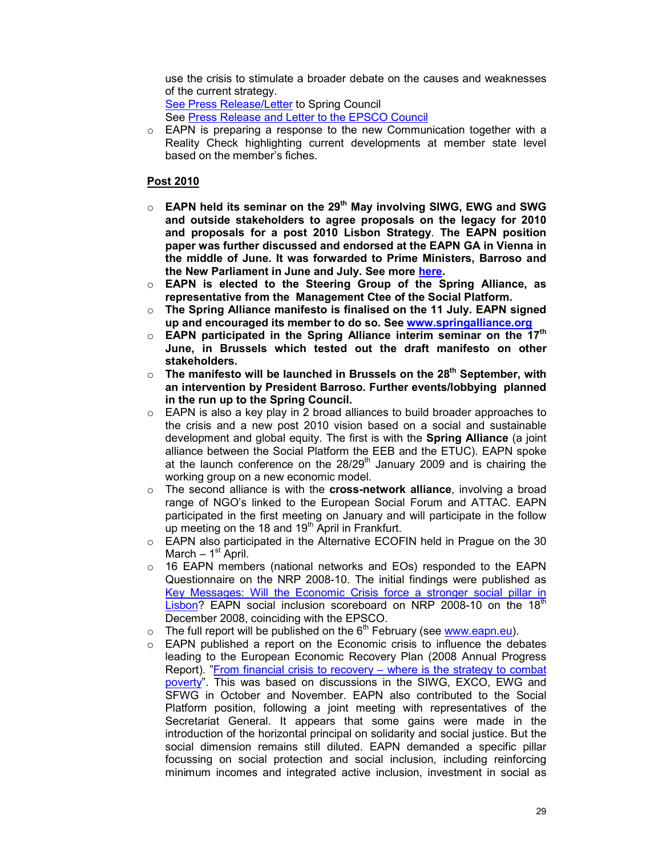use the crisis to stimulate a broader debate on the causes and weaknesses of the current strategy.

See Press Release/Letter to Spring Council See Press Release and Letter to the EPSCO Council

o EAPN is preparing a response to the new Communication together with a Reality Check highlighting current developments at member state level based on the member's fiches.

### **Post 2010**

- o **EAPN held its seminar on the 29th May involving SIWG, EWG and SWG and outside stakeholders to agree proposals on the legacy for 2010 and proposals for a post 2010 Lisbon Strategy**. **The EAPN position paper was further discussed and endorsed at the EAPN GA in Vienna in the middle of June. It was forwarded to Prime Ministers, Barroso and the New Parliament in June and July. See more here.**
- o **EAPN is elected to the Steering Group of the Spring Alliance, as representative from the Management Ctee of the Social Platform.**
- o **The Spring Alliance manifesto is finalised on the 11 July. EAPN signed up and encouraged its member to do so. See www.springalliance.org**
- o **EAPN participated in the Spring Alliance interim seminar on the 17th June, in Brussels which tested out the draft manifesto on other stakeholders.**
- o **The manifesto will be launched in Brussels on the 28th September, with an intervention by President Barroso. Further events/lobbying planned in the run up to the Spring Council.**
- $\circ$  EAPN is also a key play in 2 broad alliances to build broader approaches to the crisis and a new post 2010 vision based on a social and sustainable development and global equity. The first is with the **Spring Alliance** (a joint alliance between the Social Platform the EEB and the ETUC). EAPN spoke at the launch conference on the  $28/29<sup>th</sup>$  January 2009 and is chairing the working group on a new economic model.
- o The second alliance is with the **cross-network alliance**, involving a broad range of NGO's linked to the European Social Forum and ATTAC. EAPN participated in the first meeting on January and will participate in the follow up meeting on the 18 and  $19<sup>th</sup>$  April in Frankfurt.
- o EAPN also participated in the Alternative ECOFIN held in Prague on the 30 March –  $1<sup>st</sup>$  April.
- $\circ$  16 EAPN members (national networks and EOs) responded to the EAPN Questionnaire on the NRP 2008-10. The initial findings were published as Key Messages: Will the Economic Crisis force a stronger social pillar in Lisbon? EAPN social inclusion scoreboard on NRP 2008-10 on the 18 $^{\text{th}}$ December 2008, coinciding with the EPSCO.
- $\circ$  The full report will be published on the  $6<sup>th</sup>$  February (see www.eapn.eu).
- o EAPN published a report on the Economic crisis to influence the debates leading to the European Economic Recovery Plan (2008 Annual Progress Report). "From financial crisis to recovery – where is the strategy to combat poverty". This was based on discussions in the SIWG, EXCO, EWG and SFWG in October and November. EAPN also contributed to the Social Platform position, following a joint meeting with representatives of the Secretariat General. It appears that some gains were made in the introduction of the horizontal principal on solidarity and social justice. But the social dimension remains still diluted. EAPN demanded a specific pillar focussing on social protection and social inclusion, including reinforcing minimum incomes and integrated active inclusion, investment in social as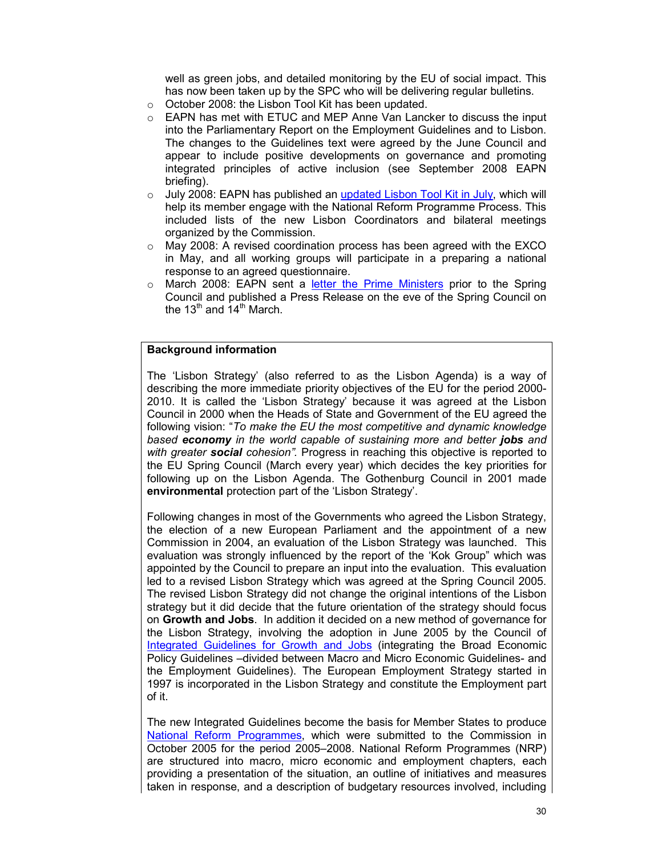well as green jobs, and detailed monitoring by the EU of social impact. This has now been taken up by the SPC who will be delivering regular bulletins.

- o October 2008: the Lisbon Tool Kit has been updated.
- o EAPN has met with ETUC and MEP Anne Van Lancker to discuss the input into the Parliamentary Report on the Employment Guidelines and to Lisbon. The changes to the Guidelines text were agreed by the June Council and appear to include positive developments on governance and promoting integrated principles of active inclusion (see September 2008 EAPN briefing).
- $\circ$  July 2008: EAPN has published an updated Lisbon Tool Kit in July, which will help its member engage with the National Reform Programme Process. This included lists of the new Lisbon Coordinators and bilateral meetings organized by the Commission.
- $\circ$  May 2008: A revised coordination process has been agreed with the EXCO in May, and all working groups will participate in a preparing a national response to an agreed questionnaire.
- o March 2008: EAPN sent a letter the Prime Ministers prior to the Spring Council and published a Press Release on the eve of the Spring Council on the  $13<sup>th</sup>$  and  $14<sup>th</sup>$  March.

#### **Background information**

The 'Lisbon Strategy' (also referred to as the Lisbon Agenda) is a way of describing the more immediate priority objectives of the EU for the period 2000- 2010. It is called the 'Lisbon Strategy' because it was agreed at the Lisbon Council in 2000 when the Heads of State and Government of the EU agreed the following vision: "*To make the EU the most competitive and dynamic knowledge based economy in the world capable of sustaining more and better jobs and with greater social cohesion".* Progress in reaching this objective is reported to the EU Spring Council (March every year) which decides the key priorities for following up on the Lisbon Agenda. The Gothenburg Council in 2001 made **environmental** protection part of the 'Lisbon Strategy'.

Following changes in most of the Governments who agreed the Lisbon Strategy, the election of a new European Parliament and the appointment of a new Commission in 2004, an evaluation of the Lisbon Strategy was launched. This evaluation was strongly influenced by the report of the 'Kok Group" which was appointed by the Council to prepare an input into the evaluation. This evaluation led to a revised Lisbon Strategy which was agreed at the Spring Council 2005. The revised Lisbon Strategy did not change the original intentions of the Lisbon strategy but it did decide that the future orientation of the strategy should focus on **Growth and Jobs**. In addition it decided on a new method of governance for the Lisbon Strategy, involving the adoption in June 2005 by the Council of Integrated Guidelines for Growth and Jobs (integrating the Broad Economic Policy Guidelines –divided between Macro and Micro Economic Guidelines- and the Employment Guidelines). The European Employment Strategy started in 1997 is incorporated in the Lisbon Strategy and constitute the Employment part of it.

The new Integrated Guidelines become the basis for Member States to produce National Reform Programmes, which were submitted to the Commission in October 2005 for the period 2005–2008. National Reform Programmes (NRP) are structured into macro, micro economic and employment chapters, each providing a presentation of the situation, an outline of initiatives and measures taken in response, and a description of budgetary resources involved, including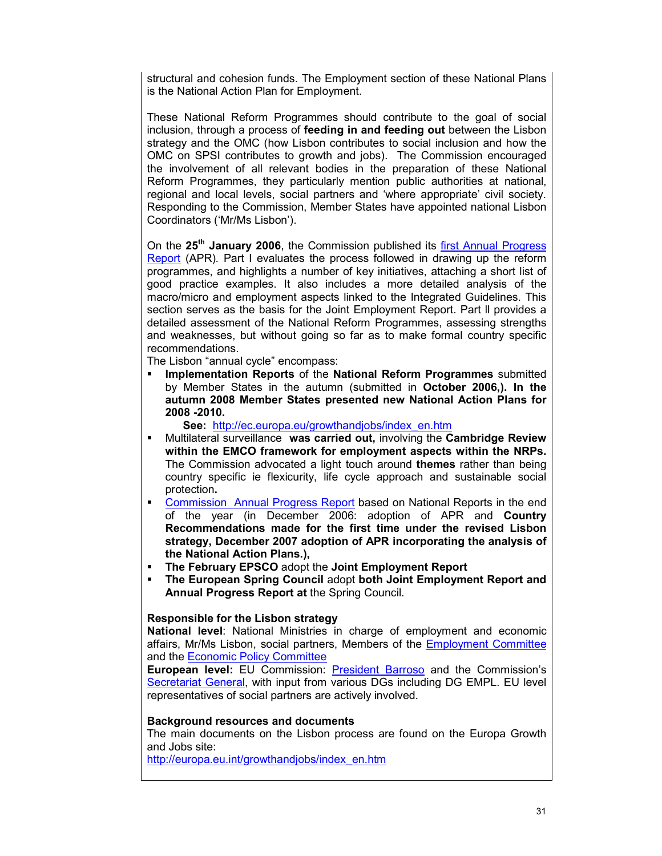structural and cohesion funds. The Employment section of these National Plans is the National Action Plan for Employment.

These National Reform Programmes should contribute to the goal of social inclusion, through a process of **feeding in and feeding out** between the Lisbon strategy and the OMC (how Lisbon contributes to social inclusion and how the OMC on SPSI contributes to growth and jobs). The Commission encouraged the involvement of all relevant bodies in the preparation of these National Reform Programmes, they particularly mention public authorities at national, regional and local levels, social partners and 'where appropriate' civil society. Responding to the Commission, Member States have appointed national Lisbon Coordinators ('Mr/Ms Lisbon').

On the **25th January 2006**, the Commission published its first Annual Progress Report (APR)*.* Part I evaluates the process followed in drawing up the reform programmes, and highlights a number of key initiatives, attaching a short list of good practice examples. It also includes a more detailed analysis of the macro/micro and employment aspects linked to the Integrated Guidelines. This section serves as the basis for the Joint Employment Report. Part ll provides a detailed assessment of the National Reform Programmes, assessing strengths and weaknesses, but without going so far as to make formal country specific recommendations.

The Lisbon "annual cycle" encompass:

 **Implementation Reports** of the **National Reform Programmes** submitted by Member States in the autumn (submitted in **October 2006,). In the autumn 2008 Member States presented new National Action Plans for 2008 -2010.**

 **See:** http://ec.europa.eu/growthandjobs/index\_en.htm

- Multilateral surveillance **was carried out,** involving the **Cambridge Review within the EMCO framework for employment aspects within the NRPs.**  The Commission advocated a light touch around **themes** rather than being country specific ie flexicurity, life cycle approach and sustainable social protection**.**
- Commission Annual Progress Report based on National Reports in the end of the year (in December 2006: adoption of APR and **Country Recommendations made for the first time under the revised Lisbon strategy, December 2007 adoption of APR incorporating the analysis of the National Action Plans.),**
- **The February EPSCO** adopt the **Joint Employment Report**
- **The European Spring Council** adopt **both Joint Employment Report and Annual Progress Report at** the Spring Council.

### **Responsible for the Lisbon strategy**

**National level**: National Ministries in charge of employment and economic affairs, Mr/Ms Lisbon, social partners, Members of the Employment Committee and the Economic Policy Committee

**European level:** EU Commission: President Barroso and the Commission's Secretariat General, with input from various DGs including DG EMPL. EU level representatives of social partners are actively involved.

#### **Background resources and documents**

The main documents on the Lisbon process are found on the Europa Growth and Jobs site:

http://europa.eu.int/growthandjobs/index\_en.htm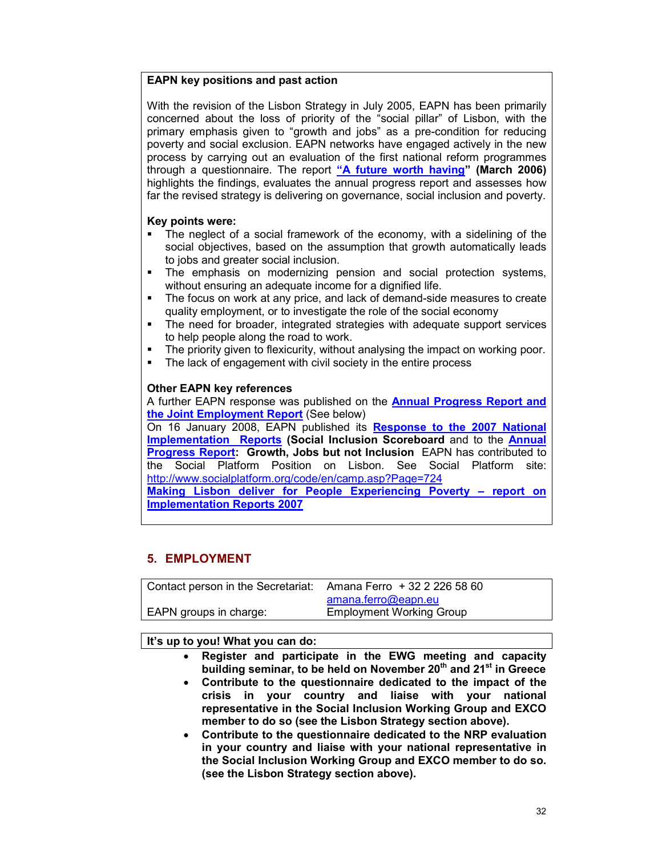### **EAPN key positions and past action**

With the revision of the Lisbon Strategy in July 2005, EAPN has been primarily concerned about the loss of priority of the "social pillar" of Lisbon, with the primary emphasis given to "growth and jobs" as a pre-condition for reducing poverty and social exclusion. EAPN networks have engaged actively in the new process by carrying out an evaluation of the first national reform programmes through a questionnaire. The report **"A future worth having" (March 2006)** highlights the findings, evaluates the annual progress report and assesses how far the revised strategy is delivering on governance, social inclusion and poverty.

### **Key points were:**

- The neglect of a social framework of the economy, with a sidelining of the social objectives, based on the assumption that growth automatically leads to jobs and greater social inclusion.
- The emphasis on modernizing pension and social protection systems, without ensuring an adequate income for a dignified life.
- The focus on work at any price, and lack of demand-side measures to create quality employment, or to investigate the role of the social economy
- The need for broader, integrated strategies with adequate support services to help people along the road to work.
- The priority given to flexicurity, without analysing the impact on working poor.
- The lack of engagement with civil society in the entire process

### **Other EAPN key references**

A further EAPN response was published on the **Annual Progress Report and the Joint Employment Report** (See below)

On 16 January 2008, EAPN published its **Response to the 2007 National Implementation Reports (Social Inclusion Scoreboard** and to the **Annual Progress Report: Growth, Jobs but not Inclusion** EAPN has contributed to the Social Platform Position on Lisbon. See Social Platform site: http://www.socialplatform.org/code/en/camp.asp?Page=724

**Making Lisbon deliver for People Experiencing Poverty – report on Implementation Reports 2007**

## **5. EMPLOYMENT**

| Contact person in the Secretariat: | Amana Ferro + 32 2 226 58 60    |
|------------------------------------|---------------------------------|
|                                    | amana.ferro@eapn.eu             |
| EAPN groups in charge:             | <b>Employment Working Group</b> |

### **It's up to you! What you can do:**

- **Register and participate in the EWG meeting and capacity building seminar, to be held on November 20th and 21st in Greece**
- **Contribute to the questionnaire dedicated to the impact of the crisis in your country and liaise with your national representative in the Social Inclusion Working Group and EXCO member to do so (see the Lisbon Strategy section above).**
- **Contribute to the questionnaire dedicated to the NRP evaluation in your country and liaise with your national representative in the Social Inclusion Working Group and EXCO member to do so. (see the Lisbon Strategy section above).**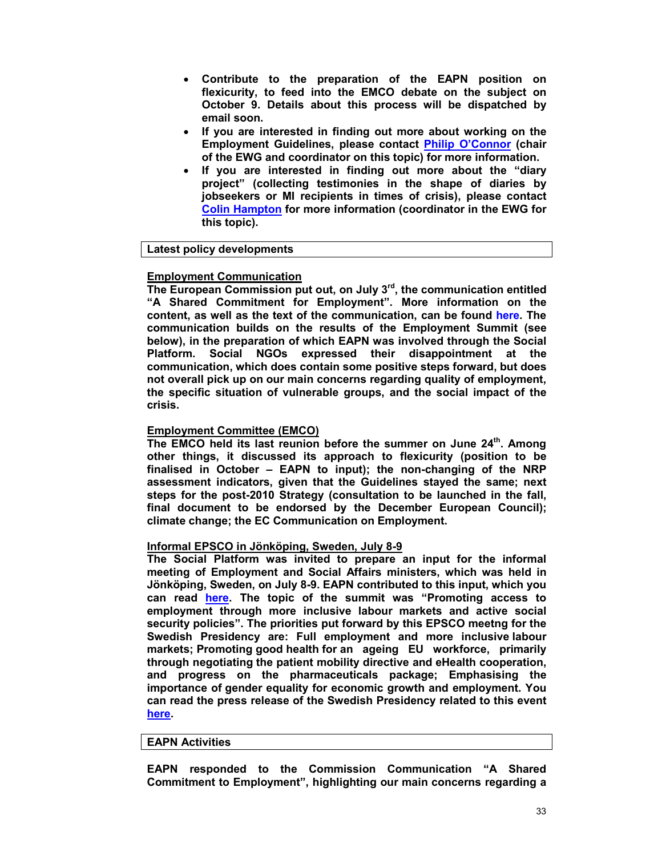- **Contribute to the preparation of the EAPN position on flexicurity, to feed into the EMCO debate on the subject on October 9. Details about this process will be dispatched by email soon.**
- **If you are interested in finding out more about working on the Employment Guidelines, please contact Philip O'Connor (chair of the EWG and coordinator on this topic) for more information.**
- **If you are interested in finding out more about the "diary project" (collecting testimonies in the shape of diaries by jobseekers or MI recipients in times of crisis), please contact Colin Hampton for more information (coordinator in the EWG for this topic).**

## **Latest policy developments**

### **Employment Communication**

**The European Commission put out, on July 3rd, the communication entitled "A Shared Commitment for Employment". More information on the content, as well as the text of the communication, can be found here. The communication builds on the results of the Employment Summit (see below), in the preparation of which EAPN was involved through the Social Platform. Social NGOs expressed their disappointment at the communication, which does contain some positive steps forward, but does not overall pick up on our main concerns regarding quality of employment, the specific situation of vulnerable groups, and the social impact of the crisis.** 

### **Employment Committee (EMCO)**

**The EMCO held its last reunion before the summer on June 24th. Among other things, it discussed its approach to flexicurity (position to be finalised in October – EAPN to input); the non-changing of the NRP assessment indicators, given that the Guidelines stayed the same; next steps for the post-2010 Strategy (consultation to be launched in the fall, final document to be endorsed by the December European Council); climate change; the EC Communication on Employment.** 

#### **Informal EPSCO in Jönköping, Sweden, July 8-9**

**The Social Platform was invited to prepare an input for the informal meeting of Employment and Social Affairs ministers, which was held in Jönköping, Sweden, on July 8-9. EAPN contributed to this input, which you can read here. The topic of the summit was "Promoting access to employment through more inclusive labour markets and active social security policies". The priorities put forward by this EPSCO meetng for the Swedish Presidency are: Full employment and more inclusive labour markets; Promoting good health for an ageing EU workforce, primarily through negotiating the patient mobility directive and eHealth cooperation, and progress on the pharmaceuticals package; Emphasising the importance of gender equality for economic growth and employment. You can read the press release of the Swedish Presidency related to this event here.** 

#### **EAPN Activities**

**EAPN responded to the Commission Communication "A Shared Commitment to Employment", highlighting our main concerns regarding a**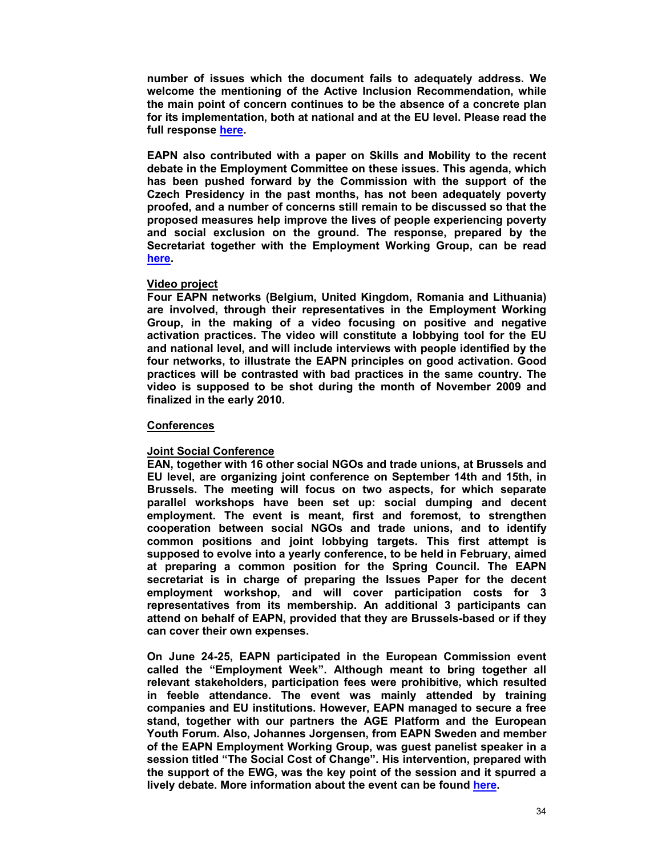**number of issues which the document fails to adequately address. We welcome the mentioning of the Active Inclusion Recommendation, while the main point of concern continues to be the absence of a concrete plan for its implementation, both at national and at the EU level. Please read the full response here.** 

**EAPN also contributed with a paper on Skills and Mobility to the recent debate in the Employment Committee on these issues. This agenda, which has been pushed forward by the Commission with the support of the Czech Presidency in the past months, has not been adequately poverty proofed, and a number of concerns still remain to be discussed so that the proposed measures help improve the lives of people experiencing poverty and social exclusion on the ground. The response, prepared by the Secretariat together with the Employment Working Group, can be read here.** 

#### **Video project**

**Four EAPN networks (Belgium, United Kingdom, Romania and Lithuania) are involved, through their representatives in the Employment Working Group, in the making of a video focusing on positive and negative activation practices. The video will constitute a lobbying tool for the EU and national level, and will include interviews with people identified by the four networks, to illustrate the EAPN principles on good activation. Good practices will be contrasted with bad practices in the same country. The video is supposed to be shot during the month of November 2009 and finalized in the early 2010.** 

#### **Conferences**

#### **Joint Social Conference**

**EAN, together with 16 other social NGOs and trade unions, at Brussels and EU level, are organizing joint conference on September 14th and 15th, in Brussels. The meeting will focus on two aspects, for which separate parallel workshops have been set up: social dumping and decent employment. The event is meant, first and foremost, to strengthen cooperation between social NGOs and trade unions, and to identify common positions and joint lobbying targets. This first attempt is supposed to evolve into a yearly conference, to be held in February, aimed at preparing a common position for the Spring Council. The EAPN secretariat is in charge of preparing the Issues Paper for the decent employment workshop, and will cover participation costs for 3 representatives from its membership. An additional 3 participants can attend on behalf of EAPN, provided that they are Brussels-based or if they can cover their own expenses.** 

**On June 24-25, EAPN participated in the European Commission event called the "Employment Week". Although meant to bring together all relevant stakeholders, participation fees were prohibitive, which resulted in feeble attendance. The event was mainly attended by training companies and EU institutions. However, EAPN managed to secure a free stand, together with our partners the AGE Platform and the European Youth Forum. Also, Johannes Jorgensen, from EAPN Sweden and member of the EAPN Employment Working Group, was guest panelist speaker in a session titled "The Social Cost of Change". His intervention, prepared with the support of the EWG, was the key point of the session and it spurred a lively debate. More information about the event can be found here.**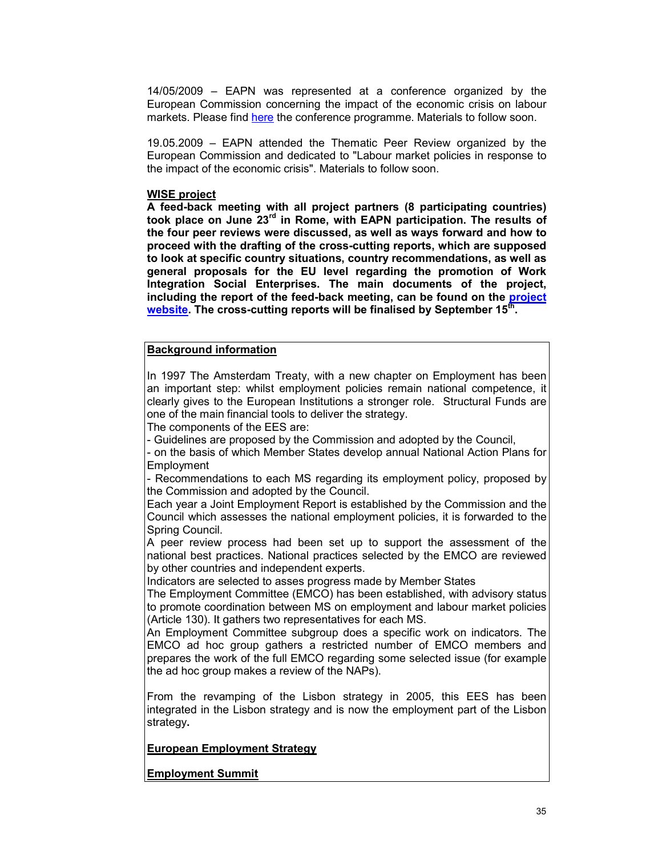14/05/2009 – EAPN was represented at a conference organized by the European Commission concerning the impact of the economic crisis on labour markets. Please find here the conference programme. Materials to follow soon.

19.05.2009 – EAPN attended the Thematic Peer Review organized by the European Commission and dedicated to "Labour market policies in response to the impact of the economic crisis". Materials to follow soon.

#### **WISE project**

**A feed-back meeting with all project partners (8 participating countries) took place on June 23rd in Rome, with EAPN participation. The results of the four peer reviews were discussed, as well as ways forward and how to proceed with the drafting of the cross-cutting reports, which are supposed to look at specific country situations, country recommendations, as well as general proposals for the EU level regarding the promotion of Work Integration Social Enterprises. The main documents of the project, including the report of the feed-back meeting, can be found on the project website. The cross-cutting reports will be finalised by September 15th .** 

## **Background information**

In 1997 The Amsterdam Treaty, with a new chapter on Employment has been an important step: whilst employment policies remain national competence, it clearly gives to the European Institutions a stronger role. Structural Funds are one of the main financial tools to deliver the strategy.

The components of the EES are:

- Guidelines are proposed by the Commission and adopted by the Council,

- on the basis of which Member States develop annual National Action Plans for **Employment** 

- Recommendations to each MS regarding its employment policy, proposed by the Commission and adopted by the Council.

Each year a Joint Employment Report is established by the Commission and the Council which assesses the national employment policies, it is forwarded to the Spring Council.

A peer review process had been set up to support the assessment of the national best practices. National practices selected by the EMCO are reviewed by other countries and independent experts.

Indicators are selected to asses progress made by Member States

The Employment Committee (EMCO) has been established, with advisory status to promote coordination between MS on employment and labour market policies (Article 130). It gathers two representatives for each MS.

An Employment Committee subgroup does a specific work on indicators. The EMCO ad hoc group gathers a restricted number of EMCO members and prepares the work of the full EMCO regarding some selected issue (for example the ad hoc group makes a review of the NAPs).

From the revamping of the Lisbon strategy in 2005, this EES has been integrated in the Lisbon strategy and is now the employment part of the Lisbon strategy**.** 

**European Employment Strategy**

**Employment Summit**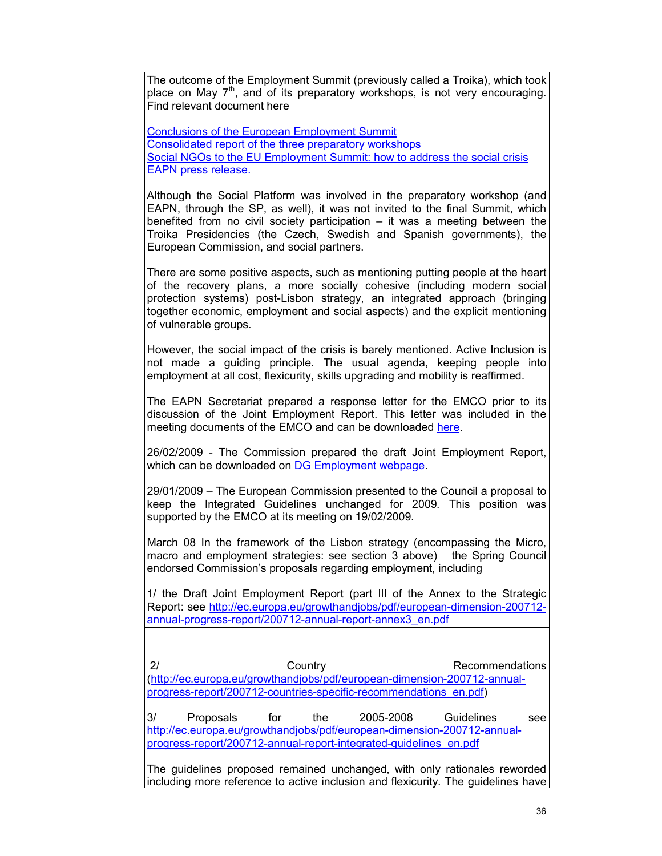The outcome of the Employment Summit (previously called a Troika), which took place on May  $7<sup>th</sup>$ , and of its preparatory workshops, is not very encouraging. Find relevant document here

Conclusions of the European Employment Summit Consolidated report of the three preparatory workshops Social NGOs to the EU Employment Summit: how to address the social crisis EAPN press release.

Although the Social Platform was involved in the preparatory workshop (and EAPN, through the SP, as well), it was not invited to the final Summit, which benefited from no civil society participation – it was a meeting between the Troika Presidencies (the Czech, Swedish and Spanish governments), the European Commission, and social partners.

There are some positive aspects, such as mentioning putting people at the heart of the recovery plans, a more socially cohesive (including modern social protection systems) post-Lisbon strategy, an integrated approach (bringing together economic, employment and social aspects) and the explicit mentioning of vulnerable groups.

However, the social impact of the crisis is barely mentioned. Active Inclusion is not made a guiding principle. The usual agenda, keeping people into employment at all cost, flexicurity, skills upgrading and mobility is reaffirmed.

The EAPN Secretariat prepared a response letter for the EMCO prior to its discussion of the Joint Employment Report. This letter was included in the meeting documents of the EMCO and can be downloaded here.

26/02/2009 - The Commission prepared the draft Joint Employment Report, which can be downloaded on DG Employment webpage.

29/01/2009 – The European Commission presented to the Council a proposal to keep the Integrated Guidelines unchanged for 2009*.* This position was supported by the EMCO at its meeting on 19/02/2009.

March 08 In the framework of the Lisbon strategy (encompassing the Micro, macro and employment strategies: see section 3 above) the Spring Council endorsed Commission's proposals regarding employment, including

1/ the Draft Joint Employment Report (part III of the Annex to the Strategic Report: see http://ec.europa.eu/growthandjobs/pdf/european-dimension-200712 annual-progress-report/200712-annual-report-annex3\_en.pdf

 2/ Country Recommendations (http://ec.europa.eu/growthandjobs/pdf/european-dimension-200712-annualprogress-report/200712-countries-specific-recommendations\_en.pdf)

3/ Proposals for the 2005-2008 Guidelines see http://ec.europa.eu/growthandjobs/pdf/european-dimension-200712-annualprogress-report/200712-annual-report-integrated-guidelines\_en.pdf

The guidelines proposed remained unchanged, with only rationales reworded including more reference to active inclusion and flexicurity. The guidelines have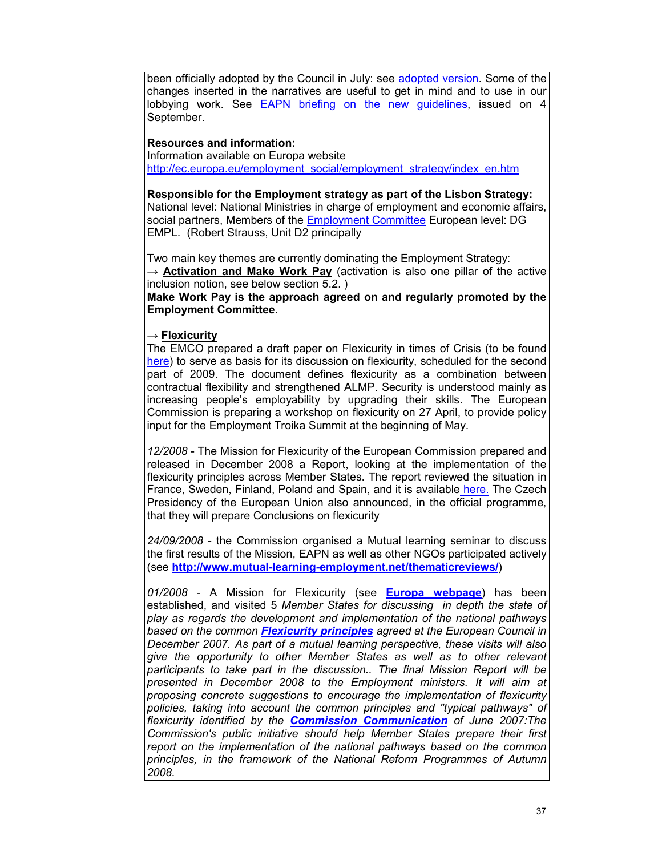been officially adopted by the Council in July: see adopted version. Some of the changes inserted in the narratives are useful to get in mind and to use in our lobbying work. See EAPN briefing on the new guidelines, issued on 4 September.

## **Resources and information:**

Information available on Europa website http://ec.europa.eu/employment\_social/employment\_strategy/index\_en.htm

**Responsible for the Employment strategy as part of the Lisbon Strategy:**  National level: National Ministries in charge of employment and economic affairs, social partners, Members of the Employment Committee European level: DG EMPL. (Robert Strauss, Unit D2 principally

Two main key themes are currently dominating the Employment Strategy: → **Activation and Make Work Pay** (activation is also one pillar of the active inclusion notion, see below section 5.2. )

**Make Work Pay is the approach agreed on and regularly promoted by the Employment Committee.** 

### → **Flexicurity**

The EMCO prepared a draft paper on Flexicurity in times of Crisis (to be found here) to serve as basis for its discussion on flexicurity, scheduled for the second part of 2009. The document defines flexicurity as a combination between contractual flexibility and strengthened ALMP. Security is understood mainly as increasing people's employability by upgrading their skills. The European Commission is preparing a workshop on flexicurity on 27 April, to provide policy input for the Employment Troika Summit at the beginning of May.

*12/2008* - The Mission for Flexicurity of the European Commission prepared and released in December 2008 a Report, looking at the implementation of the flexicurity principles across Member States. The report reviewed the situation in France, Sweden, Finland, Poland and Spain, and it is available here. The Czech Presidency of the European Union also announced, in the official programme, that they will prepare Conclusions on flexicurity

*24/09/2008* - the Commission organised a Mutual learning seminar to discuss the first results of the Mission, EAPN as well as other NGOs participated actively (see **http://www.mutual-learning-employment.net/thematicreviews/**)

*01/2008* - A Mission for Flexicurity (see **Europa webpage**) has been established, and visited 5 *Member States for discussing in depth the state of play as regards the development and implementation of the national pathways based on the common Flexicurity principles agreed at the European Council in December 2007. As part of a mutual learning perspective, these visits will also give the opportunity to other Member States as well as to other relevant participants to take part in the discussion.. The final Mission Report will be presented in December 2008 to the Employment ministers. It will aim at proposing concrete suggestions to encourage the implementation of flexicurity*  policies, taking into account the common principles and "typical pathways" of *flexicurity identified by the Commission Communication of June 2007:The Commission's public initiative should help Member States prepare their first report on the implementation of the national pathways based on the common principles, in the framework of the National Reform Programmes of Autumn 2008.*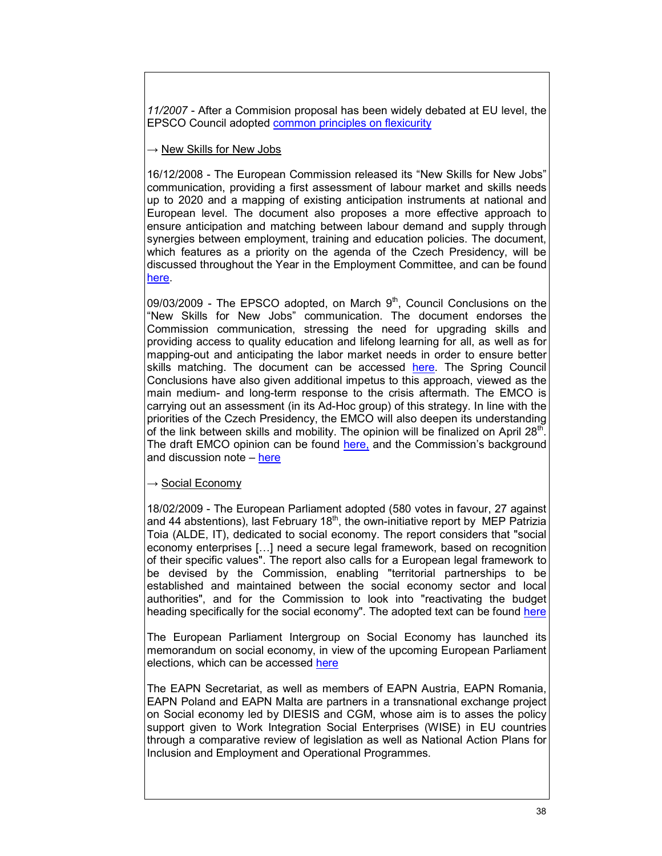*11/2007* - After a Commision proposal has been widely debated at EU level, the EPSCO Council adopted common principles on flexicurity

### $\rightarrow$  New Skills for New Jobs

16/12/2008 - The European Commission released its "New Skills for New Jobs" communication, providing a first assessment of labour market and skills needs up to 2020 and a mapping of existing anticipation instruments at national and European level. The document also proposes a more effective approach to ensure anticipation and matching between labour demand and supply through synergies between employment, training and education policies. The document, which features as a priority on the agenda of the Czech Presidency, will be discussed throughout the Year in the Employment Committee, and can be found here.

09/03/2009 - The EPSCO adopted, on March  $9<sup>th</sup>$ , Council Conclusions on the "New Skills for New Jobs" communication. The document endorses the Commission communication, stressing the need for upgrading skills and providing access to quality education and lifelong learning for all, as well as for mapping-out and anticipating the labor market needs in order to ensure better skills matching. The document can be accessed here. The Spring Council Conclusions have also given additional impetus to this approach, viewed as the main medium- and long-term response to the crisis aftermath. The EMCO is carrying out an assessment (in its Ad-Hoc group) of this strategy. In line with the priorities of the Czech Presidency, the EMCO will also deepen its understanding of the link between skills and mobility. The opinion will be finalized on April 28<sup>th</sup>. The draft EMCO opinion can be found here, and the Commission's background and discussion note - here

### $\rightarrow$  Social Economy

18/02/2009 - The European Parliament adopted (580 votes in favour, 27 against and 44 abstentions), last February  $18<sup>th</sup>$ , the own-initiative report by MEP Patrizia Toia (ALDE, IT), dedicated to social economy. The report considers that "social economy enterprises […] need a secure legal framework, based on recognition of their specific values". The report also calls for a European legal framework to be devised by the Commission, enabling "territorial partnerships to be established and maintained between the social economy sector and local authorities", and for the Commission to look into "reactivating the budget heading specifically for the social economy". The adopted text can be found here

The European Parliament Intergroup on Social Economy has launched its memorandum on social economy, in view of the upcoming European Parliament elections, which can be accessed here

The EAPN Secretariat, as well as members of EAPN Austria, EAPN Romania, EAPN Poland and EAPN Malta are partners in a transnational exchange project on Social economy led by DIESIS and CGM, whose aim is to asses the policy support given to Work Integration Social Enterprises (WISE) in EU countries through a comparative review of legislation as well as National Action Plans for Inclusion and Employment and Operational Programmes.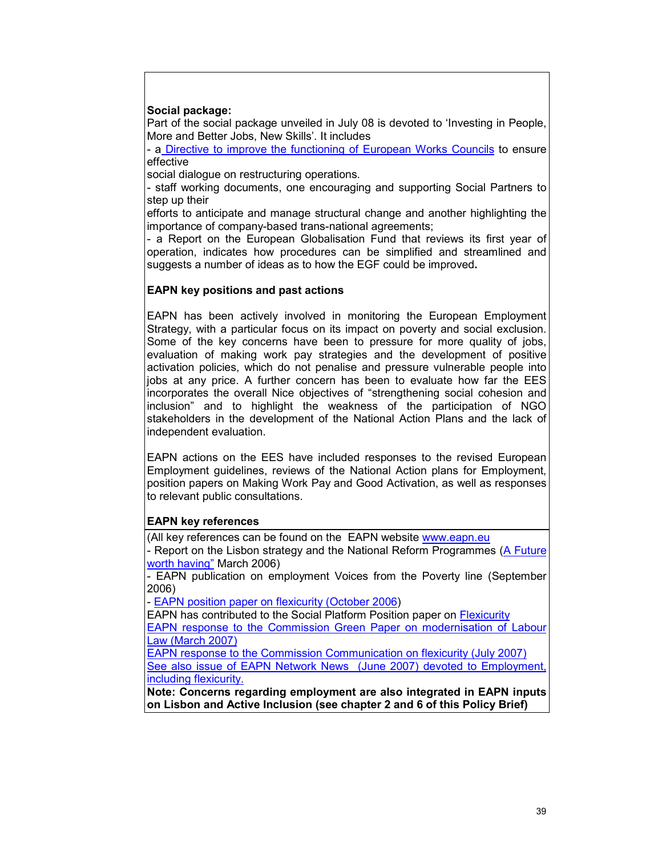### **Social package:**

Part of the social package unveiled in July 08 is devoted to 'Investing in People, More and Better Jobs, New Skills'. It includes

- a Directive to improve the functioning of European Works Councils to ensure effective

social dialogue on restructuring operations.

- staff working documents, one encouraging and supporting Social Partners to step up their

efforts to anticipate and manage structural change and another highlighting the importance of company-based trans-national agreements;

- a Report on the European Globalisation Fund that reviews its first year of operation, indicates how procedures can be simplified and streamlined and suggests a number of ideas as to how the EGF could be improved**.** 

### **EAPN key positions and past actions**

EAPN has been actively involved in monitoring the European Employment Strategy, with a particular focus on its impact on poverty and social exclusion. Some of the key concerns have been to pressure for more quality of jobs, evaluation of making work pay strategies and the development of positive activation policies, which do not penalise and pressure vulnerable people into jobs at any price. A further concern has been to evaluate how far the EES incorporates the overall Nice objectives of "strengthening social cohesion and inclusion" and to highlight the weakness of the participation of NGO stakeholders in the development of the National Action Plans and the lack of independent evaluation.

EAPN actions on the EES have included responses to the revised European Employment guidelines, reviews of the National Action plans for Employment, position papers on Making Work Pay and Good Activation, as well as responses to relevant public consultations.

### **EAPN key references**

(All key references can be found on the EAPN website www.eapn.eu

- Report on the Lisbon strategy and the National Reform Programmes (A Future worth having" March 2006)

- EAPN publication on employment Voices from the Poverty line (September 2006)

- EAPN position paper on flexicurity (October 2006)

EAPN has contributed to the Social Platform Position paper on Flexicurity EAPN response to the Commission Green Paper on modernisation of Labour Law (March 2007)

EAPN response to the Commission Communication on flexicurity (July 2007) See also issue of EAPN Network News (June 2007) devoted to Employment, including flexicurity.

**Note: Concerns regarding employment are also integrated in EAPN inputs on Lisbon and Active Inclusion (see chapter 2 and 6 of this Policy Brief)**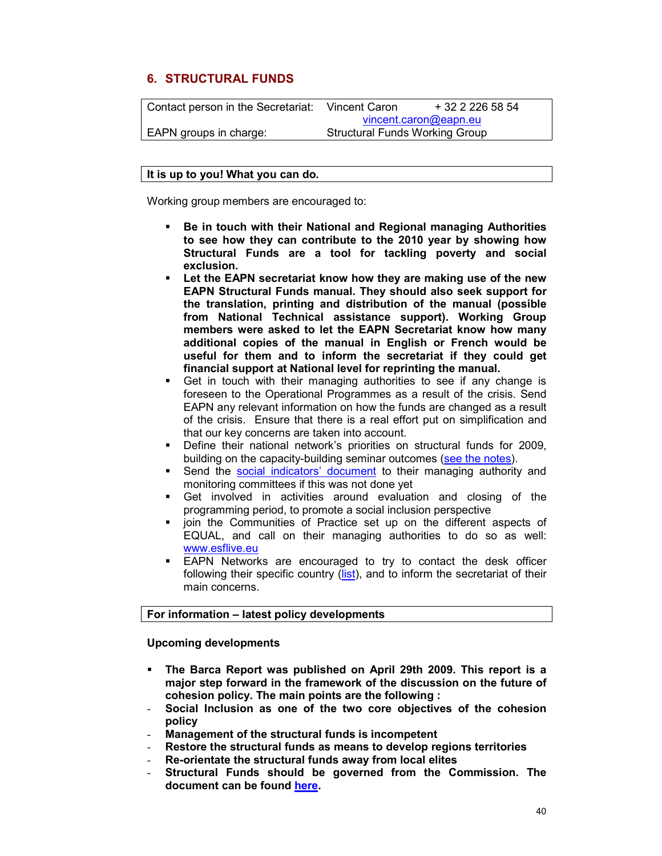## **6. STRUCTURAL FUNDS**

| Contact person in the Secretariat: | Vincent Caron                         | + 32 2 226 58 54 |
|------------------------------------|---------------------------------------|------------------|
|                                    | vincent.caron@eapn.eu                 |                  |
| EAPN groups in charge:             | <b>Structural Funds Working Group</b> |                  |

#### **It is up to you! What you can do.**

Working group members are encouraged to:

- **Be in touch with their National and Regional managing Authorities to see how they can contribute to the 2010 year by showing how Structural Funds are a tool for tackling poverty and social exclusion.**
- **Let the EAPN secretariat know how they are making use of the new EAPN Structural Funds manual. They should also seek support for the translation, printing and distribution of the manual (possible from National Technical assistance support). Working Group members were asked to let the EAPN Secretariat know how many additional copies of the manual in English or French would be useful for them and to inform the secretariat if they could get financial support at National level for reprinting the manual.**
- Get in touch with their managing authorities to see if any change is foreseen to the Operational Programmes as a result of the crisis. Send EAPN any relevant information on how the funds are changed as a result of the crisis. Ensure that there is a real effort put on simplification and that our key concerns are taken into account.
- Define their national network's priorities on structural funds for 2009, building on the capacity-building seminar outcomes (see the notes).
- Send the social indicators' document to their managing authority and monitoring committees if this was not done yet
- Get involved in activities around evaluation and closing of the programming period, to promote a social inclusion perspective
- join the Communities of Practice set up on the different aspects of EQUAL, and call on their managing authorities to do so as well: www.esflive.eu
- EAPN Networks are encouraged to try to contact the desk officer following their specific country (list), and to inform the secretariat of their main concerns.

### **For information – latest policy developments**

**Upcoming developments** 

- **The Barca Report was published on April 29th 2009. This report is a major step forward in the framework of the discussion on the future of cohesion policy. The main points are the following :**
- **Social Inclusion as one of the two core objectives of the cohesion policy**
- **Management of the structural funds is incompetent**
- **Restore the structural funds as means to develop regions territories**
- **Re-orientate the structural funds away from local elites**
- **Structural Funds should be governed from the Commission. The document can be found here.**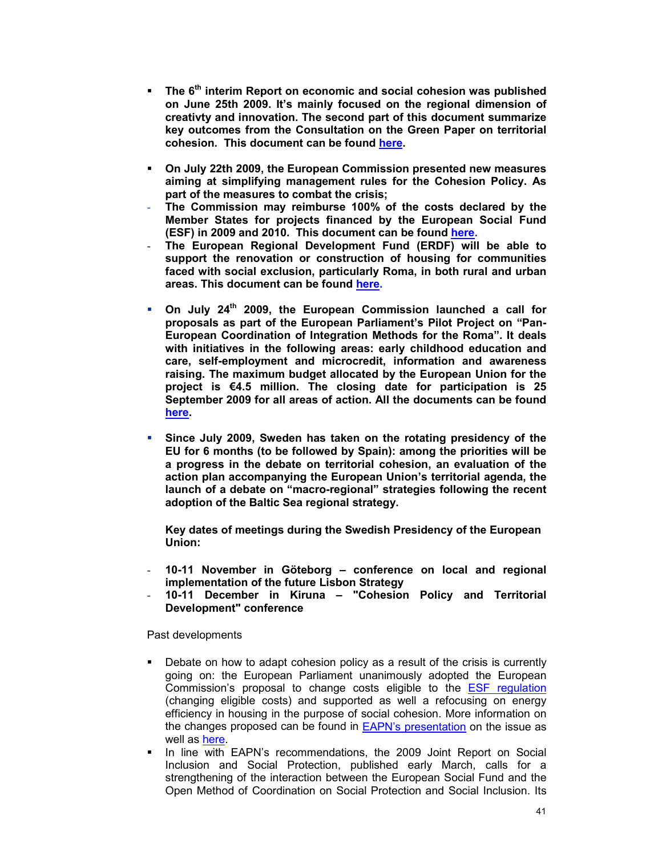- **The 6th interim Report on economic and social cohesion was published on June 25th 2009. It's mainly focused on the regional dimension of creativty and innovation. The second part of this document summarize key outcomes from the Consultation on the Green Paper on territorial cohesion. This document can be found here.**
- **On July 22th 2009, the European Commission presented new measures aiming at simplifying management rules for the Cohesion Policy. As part of the measures to combat the crisis;**
- **The Commission may reimburse 100% of the costs declared by the Member States for projects financed by the European Social Fund (ESF) in 2009 and 2010. This document can be found here.**
- **The European Regional Development Fund (ERDF) will be able to support the renovation or construction of housing for communities faced with social exclusion, particularly Roma, in both rural and urban areas. This document can be found here.**
- **On July 24th 2009, the European Commission launched a call for proposals as part of the European Parliament's Pilot Project on "Pan-European Coordination of Integration Methods for the Roma". It deals with initiatives in the following areas: early childhood education and care, self-employment and microcredit, information and awareness raising. The maximum budget allocated by the European Union for the project is €4.5 million. The closing date for participation is 25 September 2009 for all areas of action. All the documents can be found here.**
- **Since July 2009, Sweden has taken on the rotating presidency of the EU for 6 months (to be followed by Spain): among the priorities will be a progress in the debate on territorial cohesion, an evaluation of the action plan accompanying the European Union's territorial agenda, the launch of a debate on "macro-regional" strategies following the recent adoption of the Baltic Sea regional strategy.**

**Key dates of meetings during the Swedish Presidency of the European Union:** 

- **10-11 November in Göteborg conference on local and regional implementation of the future Lisbon Strategy**
- **10-11 December in Kiruna "Cohesion Policy and Territorial Development" conference**

Past developments

- Debate on how to adapt cohesion policy as a result of the crisis is currently going on: the European Parliament unanimously adopted the European Commission's proposal to change costs eligible to the ESF regulation (changing eligible costs) and supported as well a refocusing on energy efficiency in housing in the purpose of social cohesion. More information on the changes proposed can be found in EAPN's presentation on the issue as well as here.
- In line with EAPN's recommendations, the 2009 Joint Report on Social Inclusion and Social Protection, published early March, calls for a strengthening of the interaction between the European Social Fund and the Open Method of Coordination on Social Protection and Social Inclusion. Its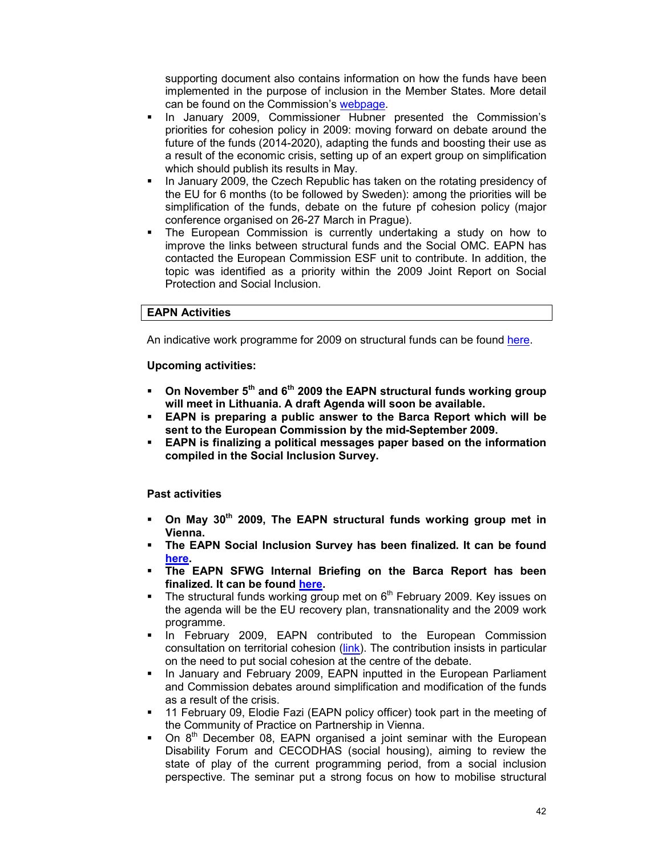supporting document also contains information on how the funds have been implemented in the purpose of inclusion in the Member States. More detail can be found on the Commission's webpage.

- In January 2009, Commissioner Hubner presented the Commission's priorities for cohesion policy in 2009: moving forward on debate around the future of the funds (2014-2020), adapting the funds and boosting their use as a result of the economic crisis, setting up of an expert group on simplification which should publish its results in May.
- In January 2009, the Czech Republic has taken on the rotating presidency of the EU for 6 months (to be followed by Sweden): among the priorities will be simplification of the funds, debate on the future pf cohesion policy (major conference organised on 26-27 March in Prague).
- The European Commission is currently undertaking a study on how to improve the links between structural funds and the Social OMC. EAPN has contacted the European Commission ESF unit to contribute. In addition, the topic was identified as a priority within the 2009 Joint Report on Social Protection and Social Inclusion.

### **EAPN Activities**

An indicative work programme for 2009 on structural funds can be found here.

**Upcoming activities:** 

- **On November 5th and 6th 2009 the EAPN structural funds working group will meet in Lithuania. A draft Agenda will soon be available.**
- **EAPN is preparing a public answer to the Barca Report which will be sent to the European Commission by the mid-September 2009.**
- **EAPN is finalizing a political messages paper based on the information compiled in the Social Inclusion Survey.**

### **Past activities**

- **On May 30th 2009, The EAPN structural funds working group met in Vienna.**
- **The EAPN Social Inclusion Survey has been finalized. It can be found here.**
- **The EAPN SFWG Internal Briefing on the Barca Report has been finalized. It can be found here.**
- The structural funds working group met on  $6<sup>th</sup>$  February 2009. Key issues on the agenda will be the EU recovery plan, transnationality and the 2009 work programme.
- In February 2009, EAPN contributed to the European Commission consultation on territorial cohesion (link). The contribution insists in particular on the need to put social cohesion at the centre of the debate.
- In January and February 2009, EAPN inputted in the European Parliament and Commission debates around simplification and modification of the funds as a result of the crisis.
- 11 February 09, Elodie Fazi (EAPN policy officer) took part in the meeting of the Community of Practice on Partnership in Vienna.
- On 8<sup>th</sup> December 08, EAPN organised a joint seminar with the European Disability Forum and CECODHAS (social housing), aiming to review the state of play of the current programming period, from a social inclusion perspective. The seminar put a strong focus on how to mobilise structural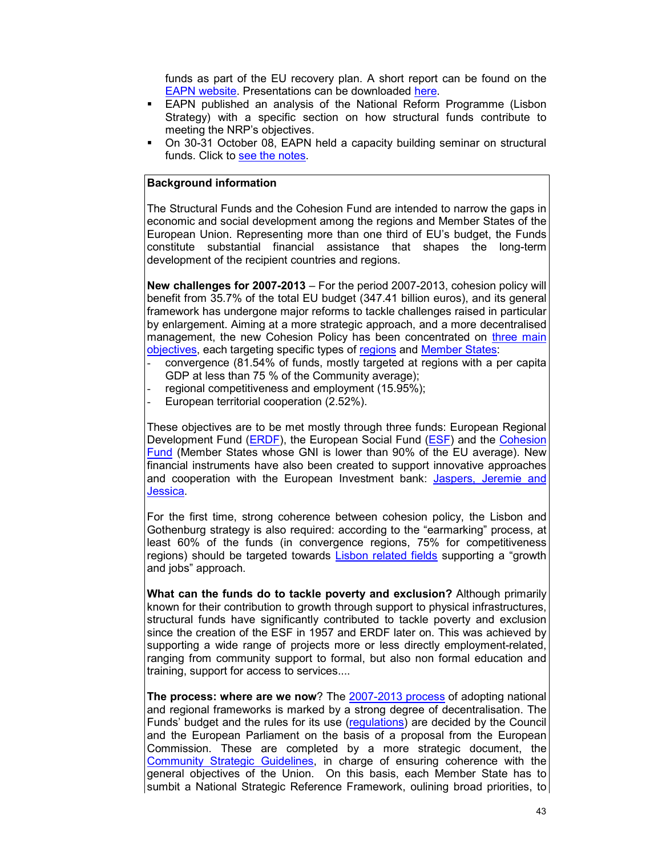funds as part of the EU recovery plan. A short report can be found on the EAPN website. Presentations can be downloaded here.

- EAPN published an analysis of the National Reform Programme (Lisbon Strategy) with a specific section on how structural funds contribute to meeting the NRP's objectives.
- On 30-31 October 08, EAPN held a capacity building seminar on structural funds. Click to see the notes.

### **Background information**

The Structural Funds and the Cohesion Fund are intended to narrow the gaps in economic and social development among the regions and Member States of the European Union. Representing more than one third of EU's budget, the Funds constitute substantial financial assistance that shapes the long-term development of the recipient countries and regions.

**New challenges for 2007-2013** – For the period 2007-2013, cohesion policy will benefit from 35.7% of the total EU budget (347.41 billion euros), and its general framework has undergone major reforms to tackle challenges raised in particular by enlargement. Aiming at a more strategic approach, and a more decentralised management, the new Cohesion Policy has been concentrated on three main objectives, each targeting specific types of regions and Member States:

- convergence (81.54% of funds, mostly targeted at regions with a per capita GDP at less than 75 % of the Community average);
- regional competitiveness and employment (15.95%);
- European territorial cooperation (2.52%).

These objectives are to be met mostly through three funds: European Regional Development Fund (ERDF), the European Social Fund (ESF) and the Cohesion Fund (Member States whose GNI is lower than 90% of the EU average). New financial instruments have also been created to support innovative approaches and cooperation with the European Investment bank: Jaspers, Jeremie and Jessica.

For the first time, strong coherence between cohesion policy, the Lisbon and Gothenburg strategy is also required: according to the "earmarking" process, at least 60% of the funds (in convergence regions, 75% for competitiveness regions) should be targeted towards Lisbon related fields supporting a "growth and jobs" approach.

**What can the funds do to tackle poverty and exclusion?** Although primarily known for their contribution to growth through support to physical infrastructures, structural funds have significantly contributed to tackle poverty and exclusion since the creation of the ESF in 1957 and ERDF later on. This was achieved by supporting a wide range of projects more or less directly employment-related, ranging from community support to formal, but also non formal education and training, support for access to services....

**The process: where are we now**? The 2007-2013 process of adopting national and regional frameworks is marked by a strong degree of decentralisation. The Funds' budget and the rules for its use (regulations) are decided by the Council and the European Parliament on the basis of a proposal from the European Commission. These are completed by a more strategic document, the Community Strategic Guidelines, in charge of ensuring coherence with the general objectives of the Union. On this basis, each Member State has to sumbit a National Strategic Reference Framework, oulining broad priorities, to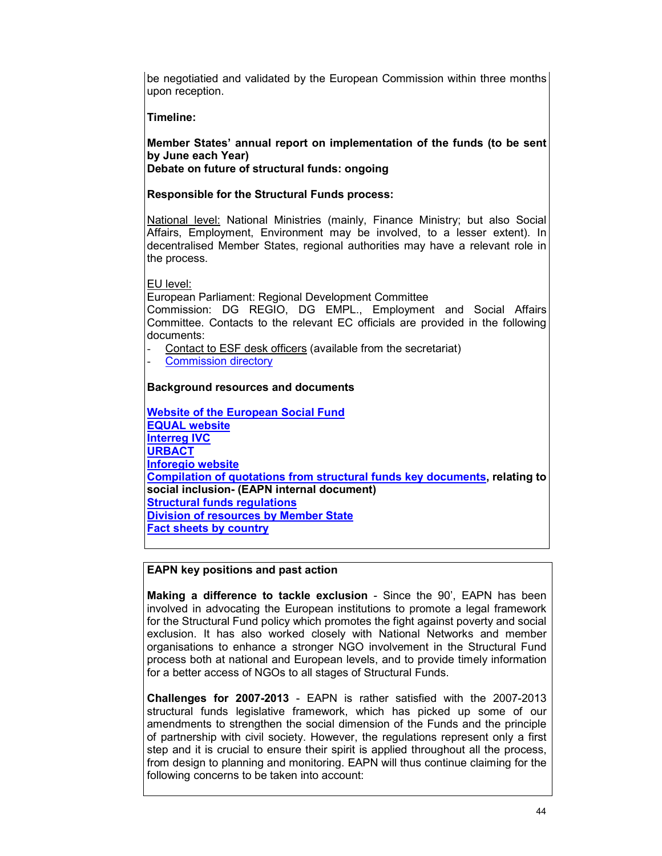be negotiatied and validated by the European Commission within three months upon reception.

**Timeline:** 

**Member States' annual report on implementation of the funds (to be sent by June each Year)** 

**Debate on future of structural funds: ongoing** 

**Responsible for the Structural Funds process:** 

National level: National Ministries (mainly, Finance Ministry; but also Social Affairs, Employment, Environment may be involved, to a lesser extent). In decentralised Member States, regional authorities may have a relevant role in the process.

EU level:

European Parliament: Regional Development Committee

Commission: DG REGIO, DG EMPL., Employment and Social Affairs Committee. Contacts to the relevant EC officials are provided in the following documents:

Contact to ESF desk officers (available from the secretariat)

Commission directory

## **Background resources and documents**

**Website of the European Social Fund EQUAL website Interreg IVC URBACT Inforegio website Compilation of quotations from structural funds key documents, relating to social inclusion- (EAPN internal document) Structural funds regulations Division of resources by Member State Fact sheets by country**

## **EAPN key positions and past action**

**Making a difference to tackle exclusion** - Since the 90', EAPN has been involved in advocating the European institutions to promote a legal framework for the Structural Fund policy which promotes the fight against poverty and social exclusion. It has also worked closely with National Networks and member organisations to enhance a stronger NGO involvement in the Structural Fund process both at national and European levels, and to provide timely information for a better access of NGOs to all stages of Structural Funds.

**Challenges for 2007-2013** - EAPN is rather satisfied with the 2007-2013 structural funds legislative framework, which has picked up some of our amendments to strengthen the social dimension of the Funds and the principle of partnership with civil society. However, the regulations represent only a first step and it is crucial to ensure their spirit is applied throughout all the process, from design to planning and monitoring. EAPN will thus continue claiming for the following concerns to be taken into account: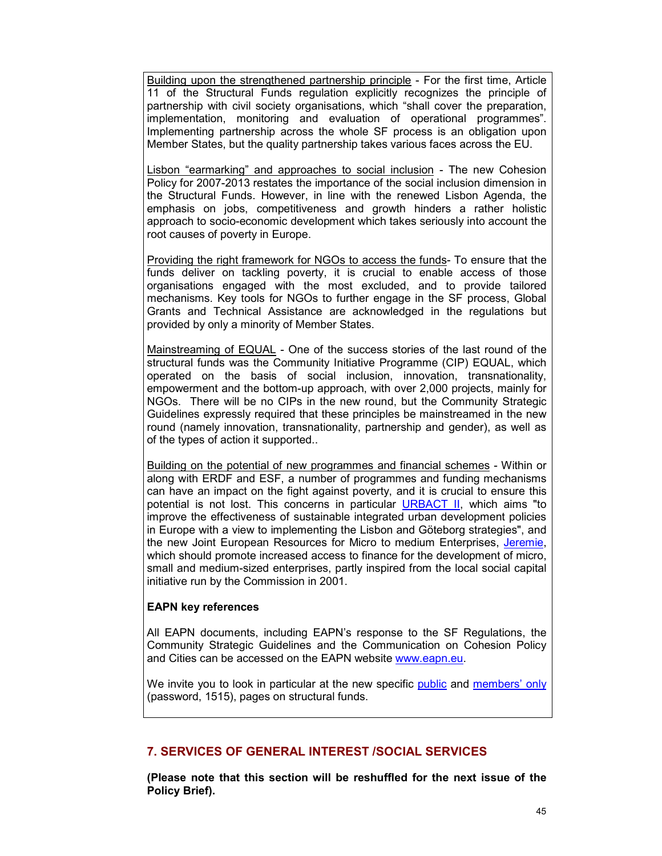Building upon the strengthened partnership principle - For the first time, Article 11 of the Structural Funds regulation explicitly recognizes the principle of partnership with civil society organisations, which "shall cover the preparation, implementation, monitoring and evaluation of operational programmes". Implementing partnership across the whole SF process is an obligation upon Member States, but the quality partnership takes various faces across the EU.

Lisbon "earmarking" and approaches to social inclusion - The new Cohesion Policy for 2007-2013 restates the importance of the social inclusion dimension in the Structural Funds. However, in line with the renewed Lisbon Agenda, the emphasis on jobs, competitiveness and growth hinders a rather holistic approach to socio-economic development which takes seriously into account the root causes of poverty in Europe.

Providing the right framework for NGOs to access the funds- To ensure that the funds deliver on tackling poverty, it is crucial to enable access of those organisations engaged with the most excluded, and to provide tailored mechanisms. Key tools for NGOs to further engage in the SF process, Global Grants and Technical Assistance are acknowledged in the regulations but provided by only a minority of Member States.

Mainstreaming of EQUAL - One of the success stories of the last round of the structural funds was the Community Initiative Programme (CIP) EQUAL, which operated on the basis of social inclusion, innovation, transnationality, empowerment and the bottom-up approach, with over 2,000 projects, mainly for NGOs. There will be no CIPs in the new round, but the Community Strategic Guidelines expressly required that these principles be mainstreamed in the new round (namely innovation, transnationality, partnership and gender), as well as of the types of action it supported..

Building on the potential of new programmes and financial schemes - Within or along with ERDF and ESF, a number of programmes and funding mechanisms can have an impact on the fight against poverty, and it is crucial to ensure this potential is not lost. This concerns in particular URBACT II, which aims "to improve the effectiveness of sustainable integrated urban development policies in Europe with a view to implementing the Lisbon and Göteborg strategies", and the new Joint European Resources for Micro to medium Enterprises, Jeremie, which should promote increased access to finance for the development of micro, small and medium-sized enterprises, partly inspired from the local social capital initiative run by the Commission in 2001.

## **EAPN key references**

All EAPN documents, including EAPN's response to the SF Regulations, the Community Strategic Guidelines and the Communication on Cohesion Policy and Cities can be accessed on the EAPN website www.eapn.eu.

We invite you to look in particular at the new specific public and members' only (password, 1515), pages on structural funds.

## **7. SERVICES OF GENERAL INTEREST /SOCIAL SERVICES**

**(Please note that this section will be reshuffled for the next issue of the Policy Brief).**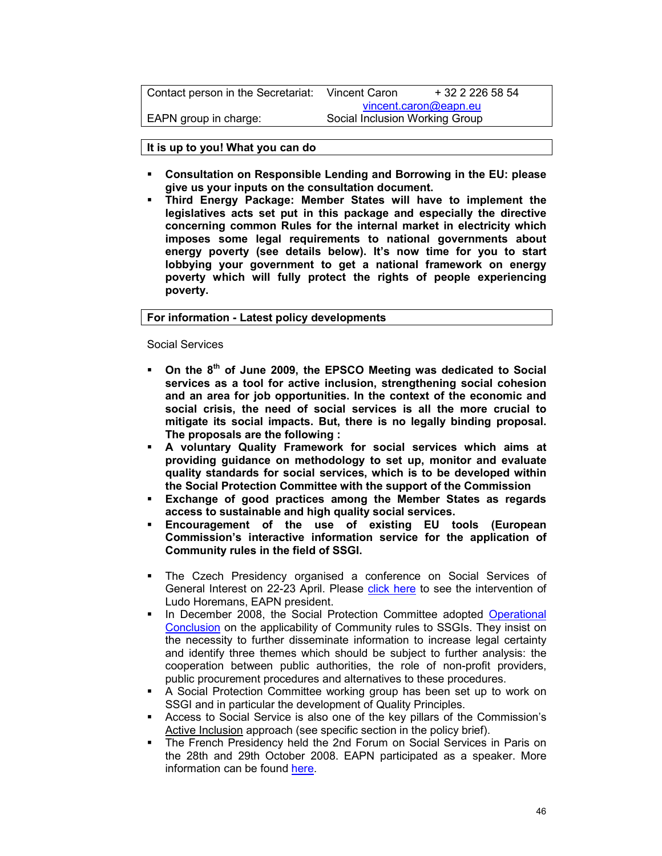| Contact person in the Secretariat: | Vincent Caron                  | + 32 2 226 58 54      |
|------------------------------------|--------------------------------|-----------------------|
|                                    |                                | vincent.caron@eapn.eu |
| EAPN group in charge:              | Social Inclusion Working Group |                       |
|                                    |                                |                       |

**It is up to you! What you can do** 

- **Consultation on Responsible Lending and Borrowing in the EU: please give us your inputs on the consultation document.**
- **Third Energy Package: Member States will have to implement the legislatives acts set put in this package and especially the directive concerning common Rules for the internal market in electricity which imposes some legal requirements to national governments about energy poverty (see details below). It's now time for you to start lobbying your government to get a national framework on energy poverty which will fully protect the rights of people experiencing poverty.**

**For information - Latest policy developments** 

Social Services

- **On the 8th of June 2009, the EPSCO Meeting was dedicated to Social services as a tool for active inclusion, strengthening social cohesion and an area for job opportunities. In the context of the economic and social crisis, the need of social services is all the more crucial to mitigate its social impacts. But, there is no legally binding proposal. The proposals are the following :**
- **A voluntary Quality Framework for social services which aims at providing guidance on methodology to set up, monitor and evaluate quality standards for social services, which is to be developed within the Social Protection Committee with the support of the Commission**
- **Exchange of good practices among the Member States as regards access to sustainable and high quality social services.**
- **Encouragement of the use of existing EU tools (European Commission's interactive information service for the application of Community rules in the field of SSGI.**
- The Czech Presidency organised a conference on Social Services of General Interest on 22-23 April. Please click here to see the intervention of Ludo Horemans, EAPN president.
- In December 2008, the Social Protection Committee adopted Operational Conclusion on the applicability of Community rules to SSGIs. They insist on the necessity to further disseminate information to increase legal certainty and identify three themes which should be subject to further analysis: the cooperation between public authorities, the role of non-profit providers, public procurement procedures and alternatives to these procedures.
- A Social Protection Committee working group has been set up to work on SSGI and in particular the development of Quality Principles.
- Access to Social Service is also one of the key pillars of the Commission's Active Inclusion approach (see specific section in the policy brief).
- The French Presidency held the 2nd Forum on Social Services in Paris on the 28th and 29th October 2008. EAPN participated as a speaker. More information can be found here.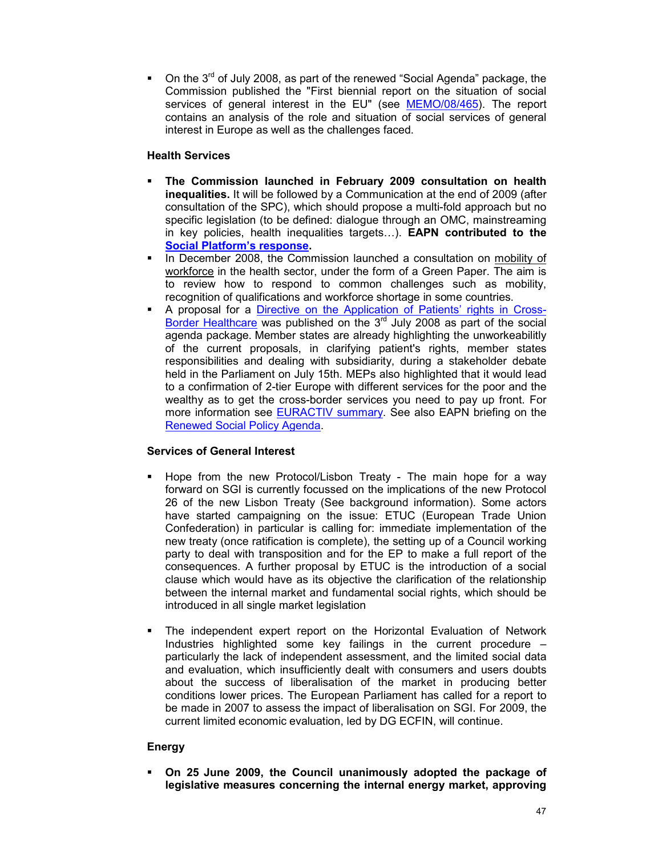On the 3rd of July 2008, as part of the renewed "Social Agenda" package, the Commission published the "First biennial report on the situation of social services of general interest in the EU" (see MEMO/08/465). The report contains an analysis of the role and situation of social services of general interest in Europe as well as the challenges faced.

### **Health Services**

- **The Commission launched in February 2009 consultation on health inequalities.** It will be followed by a Communication at the end of 2009 (after consultation of the SPC), which should propose a multi-fold approach but no specific legislation (to be defined: dialogue through an OMC, mainstreaming in key policies, health inequalities targets…). **EAPN contributed to the Social Platform's response.**
- In December 2008, the Commission launched a consultation on mobility of workforce in the health sector, under the form of a Green Paper. The aim is to review how to respond to common challenges such as mobility, recognition of qualifications and workforce shortage in some countries.
- A proposal for a Directive on the Application of Patients' rights in Cross-Border Healthcare was published on the  $3<sup>rd</sup>$  July 2008 as part of the social agenda package. Member states are already highlighting the unworkeabilitly of the current proposals, in clarifying patient's rights, member states responsibilities and dealing with subsidiarity, during a stakeholder debate held in the Parliament on July 15th. MEPs also highlighted that it would lead to a confirmation of 2-tier Europe with different services for the poor and the wealthy as to get the cross-border services you need to pay up front. For more information see EURACTIV summary. See also EAPN briefing on the Renewed Social Policy Agenda.

### **Services of General Interest**

- Hope from the new Protocol/Lisbon Treaty The main hope for a way forward on SGI is currently focussed on the implications of the new Protocol 26 of the new Lisbon Treaty (See background information). Some actors have started campaigning on the issue: ETUC (European Trade Union Confederation) in particular is calling for: immediate implementation of the new treaty (once ratification is complete), the setting up of a Council working party to deal with transposition and for the EP to make a full report of the consequences. A further proposal by ETUC is the introduction of a social clause which would have as its objective the clarification of the relationship between the internal market and fundamental social rights, which should be introduced in all single market legislation
- The independent expert report on the Horizontal Evaluation of Network Industries highlighted some key failings in the current procedure – particularly the lack of independent assessment, and the limited social data and evaluation, which insufficiently dealt with consumers and users doubts about the success of liberalisation of the market in producing better conditions lower prices. The European Parliament has called for a report to be made in 2007 to assess the impact of liberalisation on SGI. For 2009, the current limited economic evaluation, led by DG ECFIN, will continue.

## **Energy**

 **On 25 June 2009, the Council unanimously adopted the package of legislative measures concerning the internal energy market, approving**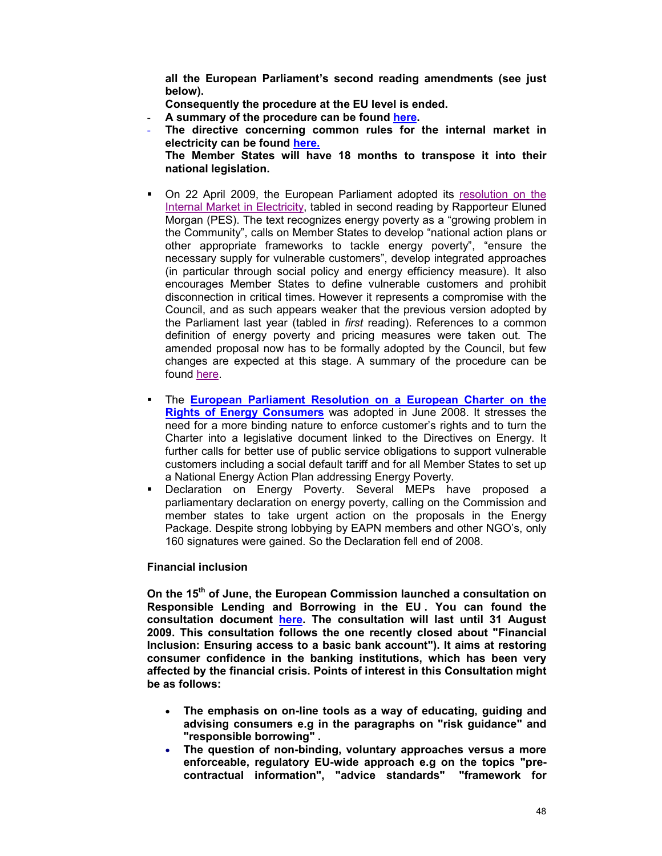**all the European Parliament's second reading amendments (see just below).** 

**Consequently the procedure at the EU level is ended.** 

- A summary of the procedure can be found here.
- **The directive concerning common rules for the internal market in electricity can be found here.**

**The Member States will have 18 months to transpose it into their national legislation.** 

- On 22 April 2009, the European Parliament adopted its resolution on the Internal Market in Electricity, tabled in second reading by Rapporteur Eluned Morgan (PES). The text recognizes energy poverty as a "growing problem in the Community", calls on Member States to develop "national action plans or other appropriate frameworks to tackle energy poverty", "ensure the necessary supply for vulnerable customers", develop integrated approaches (in particular through social policy and energy efficiency measure). It also encourages Member States to define vulnerable customers and prohibit disconnection in critical times. However it represents a compromise with the Council, and as such appears weaker that the previous version adopted by the Parliament last year (tabled in *first* reading). References to a common definition of energy poverty and pricing measures were taken out. The amended proposal now has to be formally adopted by the Council, but few changes are expected at this stage. A summary of the procedure can be found here.
- The **European Parliament Resolution on a European Charter on the Rights of Energy Consumers** was adopted in June 2008. It stresses the need for a more binding nature to enforce customer's rights and to turn the Charter into a legislative document linked to the Directives on Energy. It further calls for better use of public service obligations to support vulnerable customers including a social default tariff and for all Member States to set up a National Energy Action Plan addressing Energy Poverty.
- Declaration on Energy Poverty. Several MEPs have proposed a parliamentary declaration on energy poverty, calling on the Commission and member states to take urgent action on the proposals in the Energy Package. Despite strong lobbying by EAPN members and other NGO's, only 160 signatures were gained. So the Declaration fell end of 2008.

#### **Financial inclusion**

**On the 15th of June, the European Commission launched a consultation on Responsible Lending and Borrowing in the EU . You can found the consultation document here. The consultation will last until 31 August 2009. This consultation follows the one recently closed about "Financial Inclusion: Ensuring access to a basic bank account"). It aims at restoring consumer confidence in the banking institutions, which has been very affected by the financial crisis. Points of interest in this Consultation might be as follows:** 

- **The emphasis on on-line tools as a way of educating, guiding and advising consumers e.g in the paragraphs on "risk guidance" and "responsible borrowing" .**
- **The question of non-binding, voluntary approaches versus a more enforceable, regulatory EU-wide approach e.g on the topics "precontractual information", "advice standards" "framework for**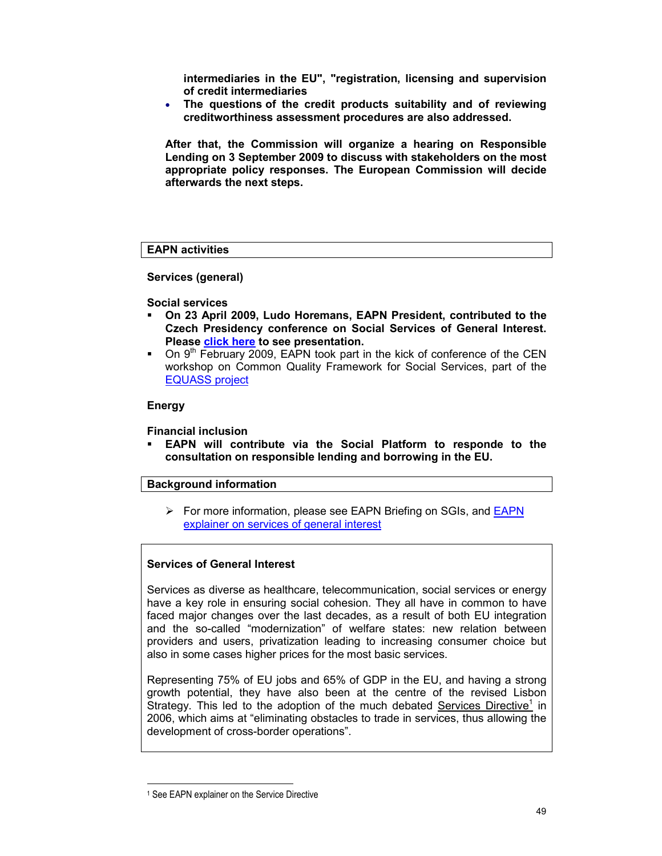**intermediaries in the EU", "registration, licensing and supervision of credit intermediaries**

• **The questions of the credit products suitability and of reviewing creditworthiness assessment procedures are also addressed.** 

**After that, the Commission will organize a hearing on Responsible Lending on 3 September 2009 to discuss with stakeholders on the most appropriate policy responses. The European Commission will decide afterwards the next steps.** 

### **EAPN activities**

**Services (general)** 

#### **Social services**

- **On 23 April 2009, Ludo Horemans, EAPN President, contributed to the Czech Presidency conference on Social Services of General Interest. Please click here to see presentation.**
- On  $9<sup>th</sup>$  February 2009, EAPN took part in the kick of conference of the CEN workshop on Common Quality Framework for Social Services, part of the EQUASS project

#### **Energy**

**Financial inclusion** 

 **EAPN will contribute via the Social Platform to responde to the consultation on responsible lending and borrowing in the EU.** 

### **Background information**

For more information, please see EAPN Briefing on SGIs, and **EAPN** explainer on services of general interest

### **Services of General Interest**

Services as diverse as healthcare, telecommunication, social services or energy have a key role in ensuring social cohesion. They all have in common to have faced major changes over the last decades, as a result of both EU integration and the so-called "modernization" of welfare states: new relation between providers and users, privatization leading to increasing consumer choice but also in some cases higher prices for the most basic services.

Representing 75% of EU jobs and 65% of GDP in the EU, and having a strong growth potential, they have also been at the centre of the revised Lisbon Strategy. This led to the adoption of the much debated Services Directive<sup>1</sup> in 2006, which aims at "eliminating obstacles to trade in services, thus allowing the development of cross-border operations".

-

<sup>1</sup> See EAPN explainer on the Service Directive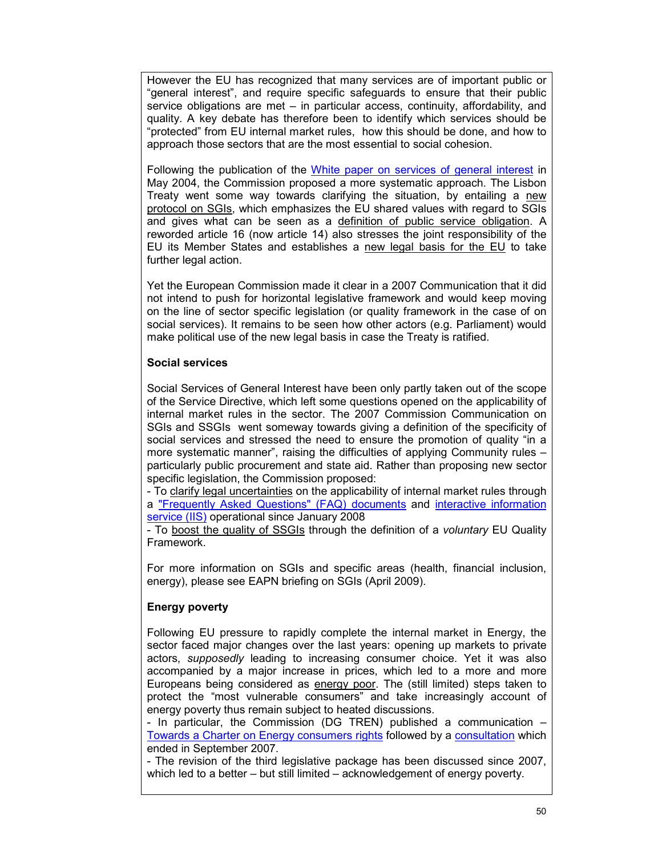However the EU has recognized that many services are of important public or "general interest", and require specific safeguards to ensure that their public service obligations are met – in particular access, continuity, affordability, and quality. A key debate has therefore been to identify which services should be "protected" from EU internal market rules, how this should be done, and how to approach those sectors that are the most essential to social cohesion.

Following the publication of the White paper on services of general interest in May 2004, the Commission proposed a more systematic approach. The Lisbon Treaty went some way towards clarifying the situation, by entailing a new protocol on SGIs, which emphasizes the EU shared values with regard to SGIs and gives what can be seen as a definition of public service obligation. A reworded article 16 (now article 14) also stresses the joint responsibility of the EU its Member States and establishes a new legal basis for the EU to take further legal action.

Yet the European Commission made it clear in a 2007 Communication that it did not intend to push for horizontal legislative framework and would keep moving on the line of sector specific legislation (or quality framework in the case of on social services). It remains to be seen how other actors (e.g. Parliament) would make political use of the new legal basis in case the Treaty is ratified.

### **Social services**

Social Services of General Interest have been only partly taken out of the scope of the Service Directive, which left some questions opened on the applicability of internal market rules in the sector. The 2007 Commission Communication on SGIs and SSGIs went someway towards giving a definition of the specificity of social services and stressed the need to ensure the promotion of quality "in a more systematic manner", raising the difficulties of applying Community rules – particularly public procurement and state aid. Rather than proposing new sector specific legislation, the Commission proposed:

- To clarify legal uncertainties on the applicability of internal market rules through a "Frequently Asked Questions" (FAQ) documents and interactive information service (IIS) operational since January 2008

- To boost the quality of SSGIs through the definition of a *voluntary* EU Quality Framework.

For more information on SGIs and specific areas (health, financial inclusion, energy), please see EAPN briefing on SGIs (April 2009).

## **Energy poverty**

Following EU pressure to rapidly complete the internal market in Energy, the sector faced major changes over the last years: opening up markets to private actors, *supposedly* leading to increasing consumer choice. Yet it was also accompanied by a major increase in prices, which led to a more and more Europeans being considered as energy poor. The (still limited) steps taken to protect the "most vulnerable consumers" and take increasingly account of energy poverty thus remain subject to heated discussions.

- In particular, the Commission (DG TREN) published a communication – Towards a Charter on Energy consumers rights followed by a consultation which ended in September 2007.

- The revision of the third legislative package has been discussed since 2007, which led to a better – but still limited – acknowledgement of energy poverty.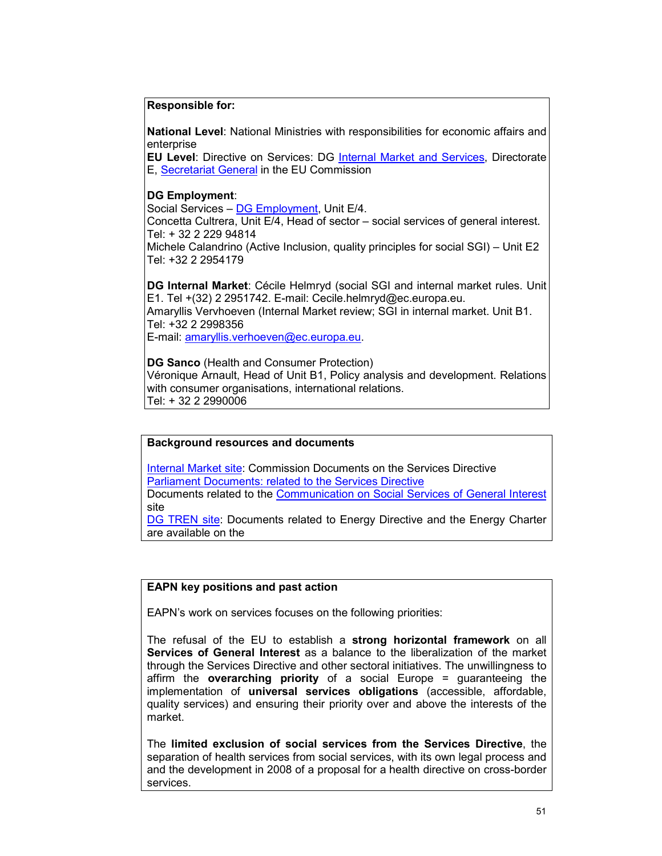### **Responsible for:**

**National Level**: National Ministries with responsibilities for economic affairs and enterprise

**EU Level**: Directive on Services: DG Internal Market and Services, Directorate E, Secretariat General in the EU Commission

### **DG Employment**:

Social Services – DG Employment, Unit E/4.

Concetta Cultrera, Unit E/4, Head of sector – social services of general interest. Tel: + 32 2 229 94814

Michele Calandrino (Active Inclusion, quality principles for social SGI) – Unit E2 Tel: +32 2 2954179

**DG Internal Market**: Cécile Helmryd (social SGI and internal market rules. Unit E1. Tel +(32) 2 2951742. E-mail: Cecile.helmryd@ec.europa.eu. Amaryllis Vervhoeven (Internal Market review; SGI in internal market. Unit B1. Tel: +32 2 2998356 E-mail: amaryllis.verhoeven@ec.europa.eu.

**DG Sanco** (Health and Consumer Protection) Véronique Arnault, Head of Unit B1, Policy analysis and development. Relations with consumer organisations, international relations. Tel: + 32 2 2990006

#### **Background resources and documents**

Internal Market site: Commission Documents on the Services Directive Parliament Documents: related to the Services Directive Documents related to the Communication on Social Services of General Interest site DG TREN site: Documents related to Energy Directive and the Energy Charter

are available on the

### **EAPN key positions and past action**

EAPN's work on services focuses on the following priorities:

The refusal of the EU to establish a **strong horizontal framework** on all **Services of General Interest** as a balance to the liberalization of the market through the Services Directive and other sectoral initiatives. The unwillingness to affirm the **overarching priority** of a social Europe = guaranteeing the implementation of **universal services obligations** (accessible, affordable, quality services) and ensuring their priority over and above the interests of the market.

The **limited exclusion of social services from the Services Directive**, the separation of health services from social services, with its own legal process and and the development in 2008 of a proposal for a health directive on cross-border services.